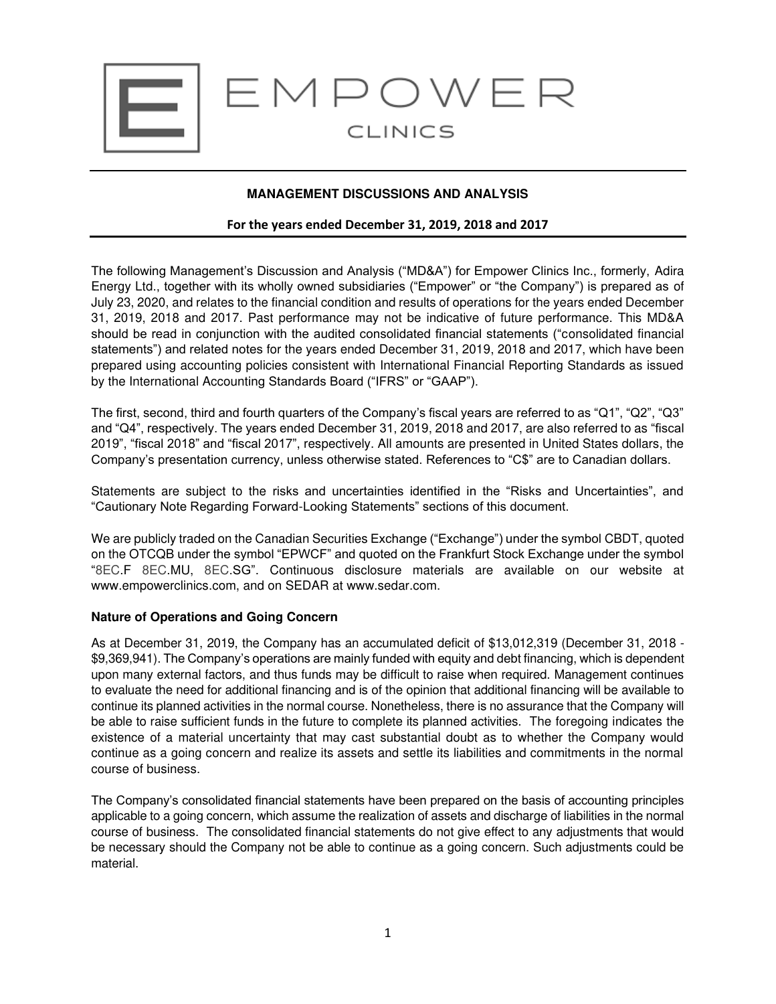

## **MANAGEMENT DISCUSSIONS AND ANALYSIS**

#### **For the years ended December 31, 2019, 2018 and 2017**

The following Management's Discussion and Analysis ("MD&A") for Empower Clinics Inc., formerly, Adira Energy Ltd., together with its wholly owned subsidiaries ("Empower" or "the Company") is prepared as of July 23, 2020, and relates to the financial condition and results of operations for the years ended December 31, 2019, 2018 and 2017. Past performance may not be indicative of future performance. This MD&A should be read in conjunction with the audited consolidated financial statements ("consolidated financial statements") and related notes for the years ended December 31, 2019, 2018 and 2017, which have been prepared using accounting policies consistent with International Financial Reporting Standards as issued by the International Accounting Standards Board ("IFRS" or "GAAP").

The first, second, third and fourth quarters of the Company's fiscal years are referred to as "Q1", "Q2", "Q3" and "Q4", respectively. The years ended December 31, 2019, 2018 and 2017, are also referred to as "fiscal 2019", "fiscal 2018" and "fiscal 2017", respectively. All amounts are presented in United States dollars, the Company's presentation currency, unless otherwise stated. References to "C\$" are to Canadian dollars.

Statements are subject to the risks and uncertainties identified in the "Risks and Uncertainties", and "Cautionary Note Regarding Forward-Looking Statements" sections of this document.

We are publicly traded on the Canadian Securities Exchange ("Exchange") under the symbol CBDT, quoted on the OTCQB under the symbol "EPWCF" and quoted on the Frankfurt Stock Exchange under the symbol "8EC.F 8EC.MU, 8EC.SG". Continuous disclosure materials are available on our website at www.empowerclinics.com, and on SEDAR at www.sedar.com.

#### **Nature of Operations and Going Concern**

As at December 31, 2019, the Company has an accumulated deficit of \$13,012,319 (December 31, 2018 - \$9,369,941). The Company's operations are mainly funded with equity and debt financing, which is dependent upon many external factors, and thus funds may be difficult to raise when required. Management continues to evaluate the need for additional financing and is of the opinion that additional financing will be available to continue its planned activities in the normal course. Nonetheless, there is no assurance that the Company will be able to raise sufficient funds in the future to complete its planned activities. The foregoing indicates the existence of a material uncertainty that may cast substantial doubt as to whether the Company would continue as a going concern and realize its assets and settle its liabilities and commitments in the normal course of business.

The Company's consolidated financial statements have been prepared on the basis of accounting principles applicable to a going concern, which assume the realization of assets and discharge of liabilities in the normal course of business. The consolidated financial statements do not give effect to any adjustments that would be necessary should the Company not be able to continue as a going concern. Such adjustments could be material.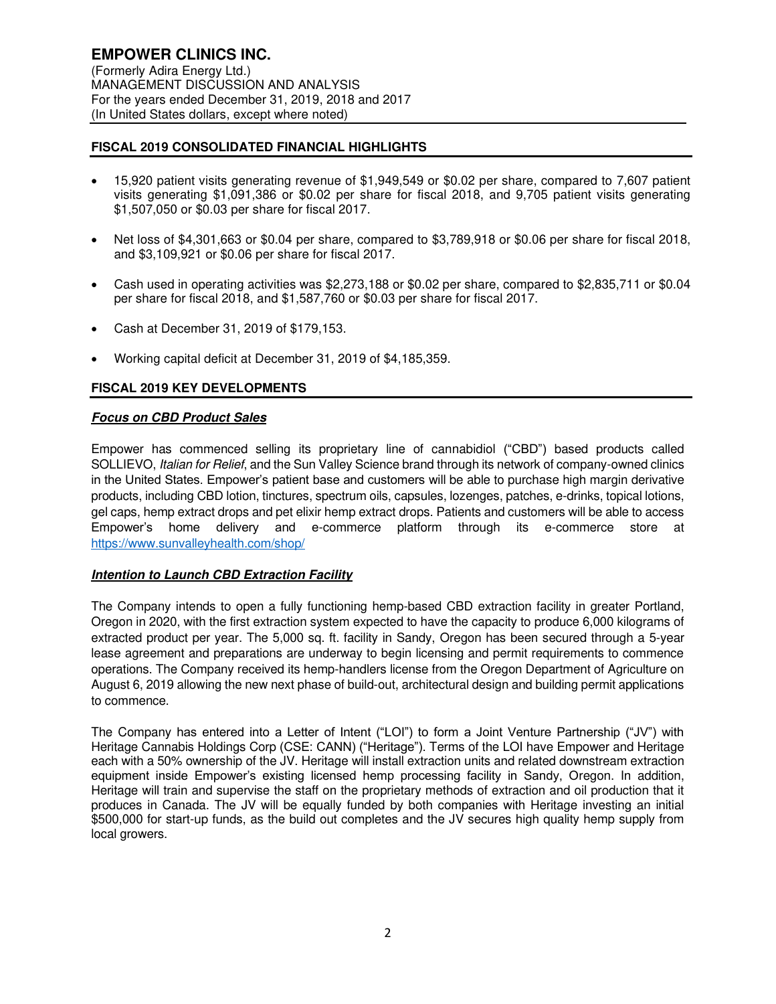## **FISCAL 2019 CONSOLIDATED FINANCIAL HIGHLIGHTS**

- 15,920 patient visits generating revenue of \$1,949,549 or \$0.02 per share, compared to 7,607 patient visits generating \$1,091,386 or \$0.02 per share for fiscal 2018, and 9,705 patient visits generating \$1,507,050 or \$0.03 per share for fiscal 2017.
- Net loss of \$4,301,663 or \$0.04 per share, compared to \$3,789,918 or \$0.06 per share for fiscal 2018, and \$3,109,921 or \$0.06 per share for fiscal 2017.
- Cash used in operating activities was \$2,273,188 or \$0.02 per share, compared to \$2,835,711 or \$0.04 per share for fiscal 2018, and \$1,587,760 or \$0.03 per share for fiscal 2017.
- Cash at December 31, 2019 of \$179,153.
- Working capital deficit at December 31, 2019 of \$4,185,359.

## **FISCAL 2019 KEY DEVELOPMENTS**

## **Focus on CBD Product Sales**

Empower has commenced selling its proprietary line of cannabidiol ("CBD") based products called SOLLIEVO, Italian for Relief, and the Sun Valley Science brand through its network of company-owned clinics in the United States. Empower's patient base and customers will be able to purchase high margin derivative products, including CBD lotion, tinctures, spectrum oils, capsules, lozenges, patches, e-drinks, topical lotions, gel caps, hemp extract drops and pet elixir hemp extract drops. Patients and customers will be able to access Empower's home delivery and e-commerce platform through its e-commerce store at <https://www.sunvalleyhealth.com/shop/>

#### **Intention to Launch CBD Extraction Facility**

The Company intends to open a fully functioning hemp-based CBD extraction facility in greater Portland, Oregon in 2020, with the first extraction system expected to have the capacity to produce 6,000 kilograms of extracted product per year. The 5,000 sq. ft. facility in Sandy, Oregon has been secured through a 5-year lease agreement and preparations are underway to begin licensing and permit requirements to commence operations. The Company received its hemp-handlers license from the Oregon Department of Agriculture on August 6, 2019 allowing the new next phase of build-out, architectural design and building permit applications to commence.

The Company has entered into a Letter of Intent ("LOI") to form a Joint Venture Partnership ("JV") with Heritage Cannabis Holdings Corp (CSE: CANN) ("Heritage"). Terms of the LOI have Empower and Heritage each with a 50% ownership of the JV. Heritage will install extraction units and related downstream extraction equipment inside Empower's existing licensed hemp processing facility in Sandy, Oregon. In addition, Heritage will train and supervise the staff on the proprietary methods of extraction and oil production that it produces in Canada. The JV will be equally funded by both companies with Heritage investing an initial \$500,000 for start-up funds, as the build out completes and the JV secures high quality hemp supply from local growers.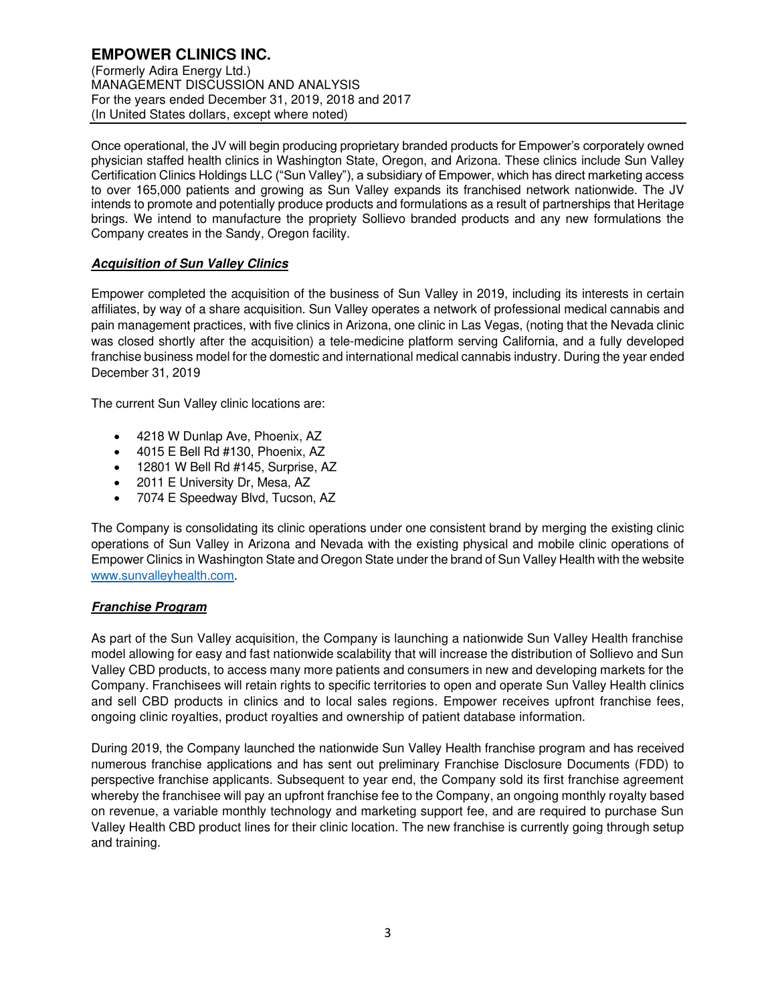# **EMPOWER CLINICS INC.**

(Formerly Adira Energy Ltd.) MANAGEMENT DISCUSSION AND ANALYSIS For the years ended December 31, 2019, 2018 and 2017 (In United States dollars, except where noted)

Once operational, the JV will begin producing proprietary branded products for Empower's corporately owned physician staffed health clinics in Washington State, Oregon, and Arizona. These clinics include Sun Valley Certification Clinics Holdings LLC ("Sun Valley"), a subsidiary of Empower, which has direct marketing access to over 165,000 patients and growing as Sun Valley expands its franchised network nationwide. The JV intends to promote and potentially produce products and formulations as a result of partnerships that Heritage brings. We intend to manufacture the propriety Sollievo branded products and any new formulations the Company creates in the Sandy, Oregon facility.

## **Acquisition of Sun Valley Clinics**

Empower completed the acquisition of the business of Sun Valley in 2019, including its interests in certain affiliates, by way of a share acquisition. Sun Valley operates a network of professional medical cannabis and pain management practices, with five clinics in Arizona, one clinic in Las Vegas, (noting that the Nevada clinic was closed shortly after the acquisition) a tele-medicine platform serving California, and a fully developed franchise business model for the domestic and international medical cannabis industry. During the year ended December 31, 2019

The current Sun Valley clinic locations are:

- 4218 W Dunlap Ave, Phoenix, AZ
- 4015 E Bell Rd #130, Phoenix, AZ
- 12801 W Bell Rd #145, Surprise, AZ
- 2011 E University Dr, Mesa, AZ
- 7074 E Speedway Blvd, Tucson, AZ

The Company is consolidating its clinic operations under one consistent brand by merging the existing clinic operations of Sun Valley in Arizona and Nevada with the existing physical and mobile clinic operations of Empower Clinics in Washington State and Oregon State under the brand of Sun Valley Health with the website [www.sunvalleyhealth.com.](http://www.sunvalleyhealth.com/)

## **Franchise Program**

As part of the Sun Valley acquisition, the Company is launching a nationwide Sun Valley Health franchise model allowing for easy and fast nationwide scalability that will increase the distribution of Sollievo and Sun Valley CBD products, to access many more patients and consumers in new and developing markets for the Company. Franchisees will retain rights to specific territories to open and operate Sun Valley Health clinics and sell CBD products in clinics and to local sales regions. Empower receives upfront franchise fees, ongoing clinic royalties, product royalties and ownership of patient database information.

During 2019, the Company launched the nationwide Sun Valley Health franchise program and has received numerous franchise applications and has sent out preliminary Franchise Disclosure Documents (FDD) to perspective franchise applicants. Subsequent to year end, the Company sold its first franchise agreement whereby the franchisee will pay an upfront franchise fee to the Company, an ongoing monthly royalty based on revenue, a variable monthly technology and marketing support fee, and are required to purchase Sun Valley Health CBD product lines for their clinic location. The new franchise is currently going through setup and training.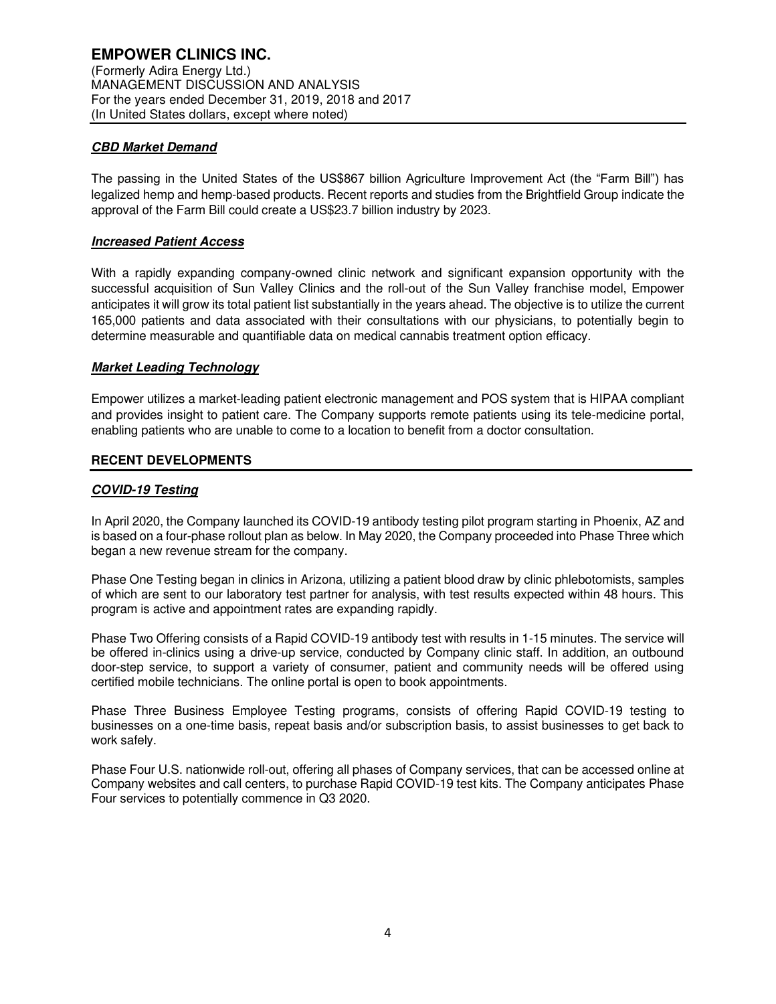## **CBD Market Demand**

The passing in the United States of the US\$867 billion Agriculture Improvement Act (the "Farm Bill") has legalized hemp and hemp-based products. Recent reports and studies from the Brightfield Group indicate the approval of the Farm Bill could create a US\$23.7 billion industry by 2023.

## **Increased Patient Access**

With a rapidly expanding company-owned clinic network and significant expansion opportunity with the successful acquisition of Sun Valley Clinics and the roll-out of the Sun Valley franchise model, Empower anticipates it will grow its total patient list substantially in the years ahead. The objective is to utilize the current 165,000 patients and data associated with their consultations with our physicians, to potentially begin to determine measurable and quantifiable data on medical cannabis treatment option efficacy.

## **Market Leading Technology**

Empower utilizes a market-leading patient electronic management and POS system that is HIPAA compliant and provides insight to patient care. The Company supports remote patients using its tele-medicine portal, enabling patients who are unable to come to a location to benefit from a doctor consultation.

#### **RECENT DEVELOPMENTS**

## **COVID-19 Testing**

In April 2020, the Company launched its COVID-19 antibody testing pilot program starting in Phoenix, AZ and is based on a four-phase rollout plan as below. In May 2020, the Company proceeded into Phase Three which began a new revenue stream for the company.

Phase One Testing began in clinics in Arizona, utilizing a patient blood draw by clinic phlebotomists, samples of which are sent to our laboratory test partner for analysis, with test results expected within 48 hours. This program is active and appointment rates are expanding rapidly.

Phase Two Offering consists of a Rapid COVID-19 antibody test with results in 1-15 minutes. The service will be offered in-clinics using a drive-up service, conducted by Company clinic staff. In addition, an outbound door-step service, to support a variety of consumer, patient and community needs will be offered using certified mobile technicians. The online portal is open to book appointments.

Phase Three Business Employee Testing programs, consists of offering Rapid COVID-19 testing to businesses on a one-time basis, repeat basis and/or subscription basis, to assist businesses to get back to work safely.

Phase Four U.S. nationwide roll-out, offering all phases of Company services, that can be accessed online at Company websites and call centers, to purchase Rapid COVID-19 test kits. The Company anticipates Phase Four services to potentially commence in Q3 2020.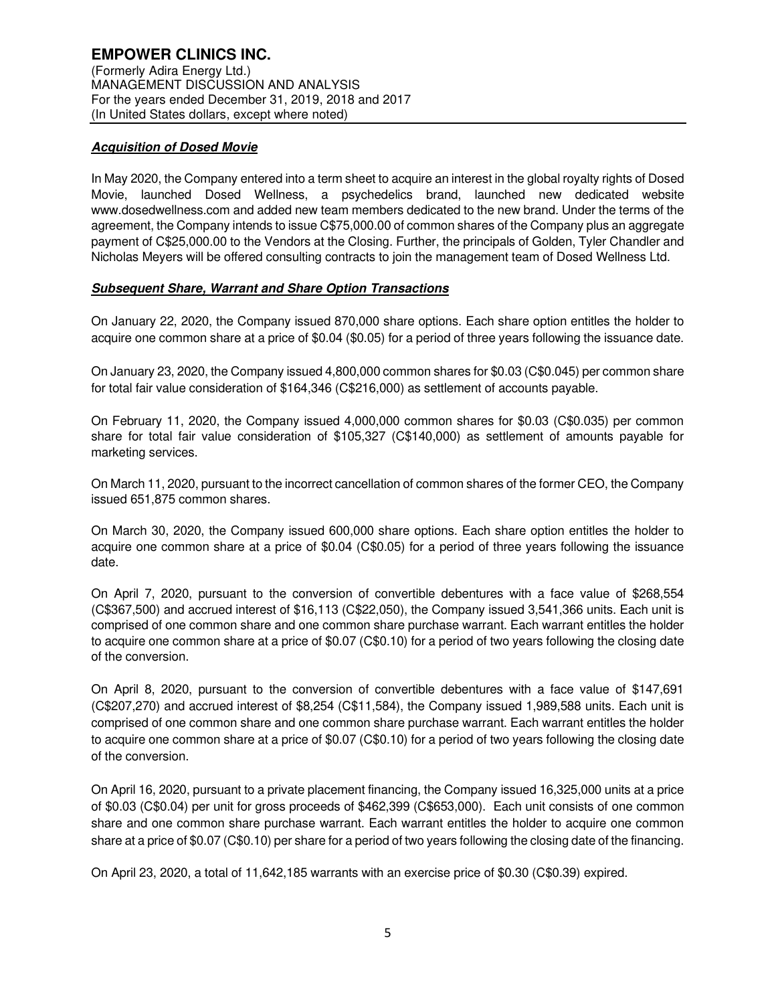## **Acquisition of Dosed Movie**

In May 2020, the Company entered into a term sheet to acquire an interest in the global royalty rights of Dosed Movie, launched Dosed Wellness, a psychedelics brand, launched new dedicated website www.dosedwellness.com and added new team members dedicated to the new brand. Under the terms of the agreement, the Company intends to issue C\$75,000.00 of common shares of the Company plus an aggregate payment of C\$25,000.00 to the Vendors at the Closing. Further, the principals of Golden, Tyler Chandler and Nicholas Meyers will be offered consulting contracts to join the management team of Dosed Wellness Ltd.

## **Subsequent Share, Warrant and Share Option Transactions**

On January 22, 2020, the Company issued 870,000 share options. Each share option entitles the holder to acquire one common share at a price of \$0.04 (\$0.05) for a period of three years following the issuance date.

On January 23, 2020, the Company issued 4,800,000 common shares for \$0.03 (C\$0.045) per common share for total fair value consideration of \$164,346 (C\$216,000) as settlement of accounts payable.

On February 11, 2020, the Company issued 4,000,000 common shares for \$0.03 (C\$0.035) per common share for total fair value consideration of \$105,327 (C\$140,000) as settlement of amounts payable for marketing services.

On March 11, 2020, pursuant to the incorrect cancellation of common shares of the former CEO, the Company issued 651,875 common shares.

On March 30, 2020, the Company issued 600,000 share options. Each share option entitles the holder to acquire one common share at a price of \$0.04 (C\$0.05) for a period of three years following the issuance date.

On April 7, 2020, pursuant to the conversion of convertible debentures with a face value of \$268,554 (C\$367,500) and accrued interest of \$16,113 (C\$22,050), the Company issued 3,541,366 units. Each unit is comprised of one common share and one common share purchase warrant. Each warrant entitles the holder to acquire one common share at a price of \$0.07 (C\$0.10) for a period of two years following the closing date of the conversion.

On April 8, 2020, pursuant to the conversion of convertible debentures with a face value of \$147,691 (C\$207,270) and accrued interest of \$8,254 (C\$11,584), the Company issued 1,989,588 units. Each unit is comprised of one common share and one common share purchase warrant. Each warrant entitles the holder to acquire one common share at a price of \$0.07 (C\$0.10) for a period of two years following the closing date of the conversion.

On April 16, 2020, pursuant to a private placement financing, the Company issued 16,325,000 units at a price of \$0.03 (C\$0.04) per unit for gross proceeds of \$462,399 (C\$653,000). Each unit consists of one common share and one common share purchase warrant. Each warrant entitles the holder to acquire one common share at a price of \$0.07 (C\$0.10) per share for a period of two years following the closing date of the financing.

On April 23, 2020, a total of 11,642,185 warrants with an exercise price of \$0.30 (C\$0.39) expired.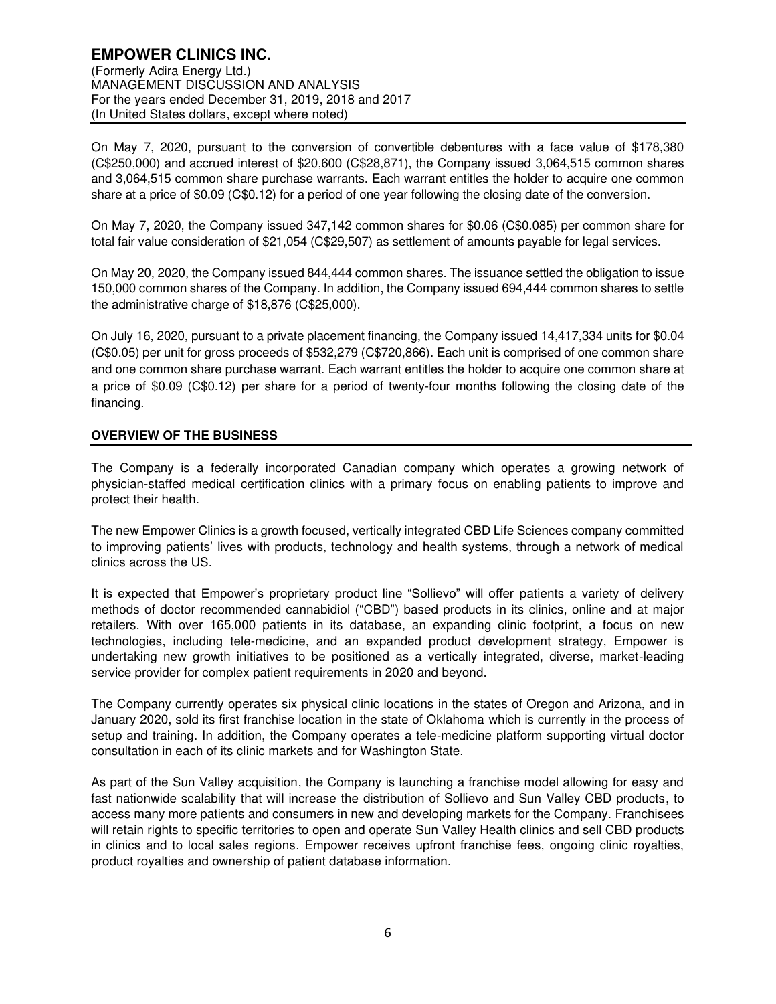### **EMPOWER CLINICS INC.**  (Formerly Adira Energy Ltd.) MANAGEMENT DISCUSSION AND ANALYSIS For the years ended December 31, 2019, 2018 and 2017 (In United States dollars, except where noted)

On May 7, 2020, pursuant to the conversion of convertible debentures with a face value of \$178,380 (C\$250,000) and accrued interest of \$20,600 (C\$28,871), the Company issued 3,064,515 common shares and 3,064,515 common share purchase warrants. Each warrant entitles the holder to acquire one common share at a price of \$0.09 (C\$0.12) for a period of one year following the closing date of the conversion.

On May 7, 2020, the Company issued 347,142 common shares for \$0.06 (C\$0.085) per common share for total fair value consideration of \$21,054 (C\$29,507) as settlement of amounts payable for legal services.

On May 20, 2020, the Company issued 844,444 common shares. The issuance settled the obligation to issue 150,000 common shares of the Company. In addition, the Company issued 694,444 common shares to settle the administrative charge of \$18,876 (C\$25,000).

On July 16, 2020, pursuant to a private placement financing, the Company issued 14,417,334 units for \$0.04 (C\$0.05) per unit for gross proceeds of \$532,279 (C\$720,866). Each unit is comprised of one common share and one common share purchase warrant. Each warrant entitles the holder to acquire one common share at a price of \$0.09 (C\$0.12) per share for a period of twenty-four months following the closing date of the financing.

## **OVERVIEW OF THE BUSINESS**

The Company is a federally incorporated Canadian company which operates a growing network of physician-staffed medical certification clinics with a primary focus on enabling patients to improve and protect their health.

The new Empower Clinics is a growth focused, vertically integrated CBD Life Sciences company committed to improving patients' lives with products, technology and health systems, through a network of medical clinics across the US.

It is expected that Empower's proprietary product line "Sollievo" will offer patients a variety of delivery methods of doctor recommended cannabidiol ("CBD") based products in its clinics, online and at major retailers. With over 165,000 patients in its database, an expanding clinic footprint, a focus on new technologies, including tele-medicine, and an expanded product development strategy, Empower is undertaking new growth initiatives to be positioned as a vertically integrated, diverse, market-leading service provider for complex patient requirements in 2020 and beyond.

The Company currently operates six physical clinic locations in the states of Oregon and Arizona, and in January 2020, sold its first franchise location in the state of Oklahoma which is currently in the process of setup and training. In addition, the Company operates a tele-medicine platform supporting virtual doctor consultation in each of its clinic markets and for Washington State.

As part of the Sun Valley acquisition, the Company is launching a franchise model allowing for easy and fast nationwide scalability that will increase the distribution of Sollievo and Sun Valley CBD products, to access many more patients and consumers in new and developing markets for the Company. Franchisees will retain rights to specific territories to open and operate Sun Valley Health clinics and sell CBD products in clinics and to local sales regions. Empower receives upfront franchise fees, ongoing clinic royalties, product royalties and ownership of patient database information.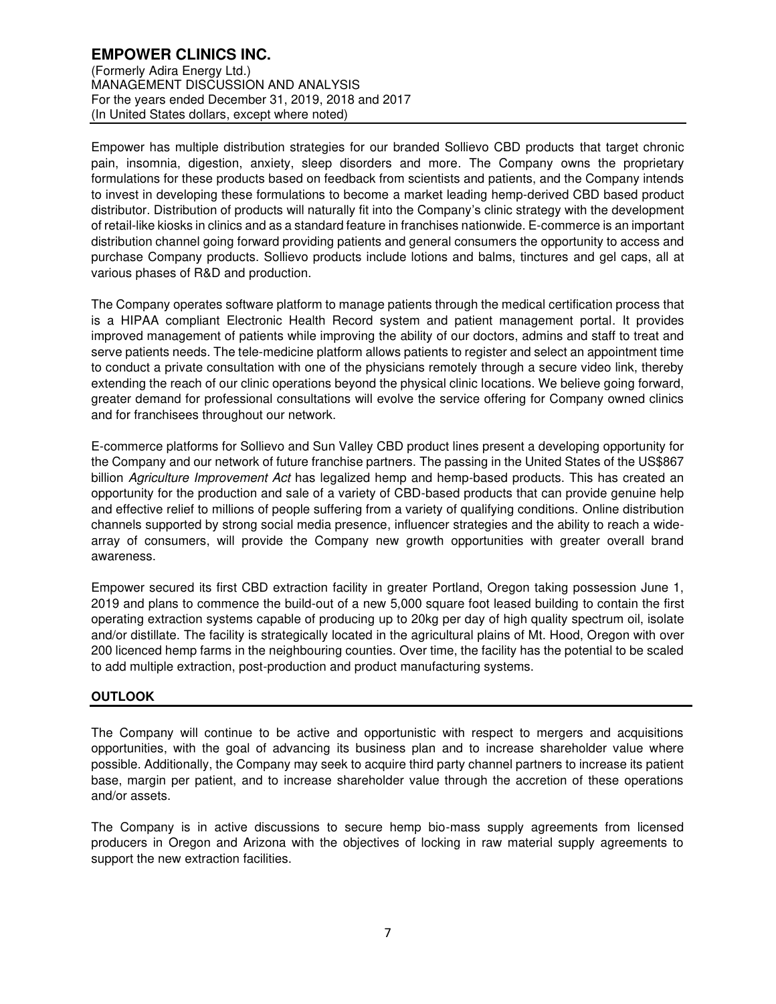# **EMPOWER CLINICS INC.**

(Formerly Adira Energy Ltd.) MANAGEMENT DISCUSSION AND ANALYSIS For the years ended December 31, 2019, 2018 and 2017 (In United States dollars, except where noted)

Empower has multiple distribution strategies for our branded Sollievo CBD products that target chronic pain, insomnia, digestion, anxiety, sleep disorders and more. The Company owns the proprietary formulations for these products based on feedback from scientists and patients, and the Company intends to invest in developing these formulations to become a market leading hemp-derived CBD based product distributor. Distribution of products will naturally fit into the Company's clinic strategy with the development of retail-like kiosks in clinics and as a standard feature in franchises nationwide. E-commerce is an important distribution channel going forward providing patients and general consumers the opportunity to access and purchase Company products. Sollievo products include lotions and balms, tinctures and gel caps, all at various phases of R&D and production.

The Company operates software platform to manage patients through the medical certification process that is a HIPAA compliant Electronic Health Record system and patient management portal. It provides improved management of patients while improving the ability of our doctors, admins and staff to treat and serve patients needs. The tele-medicine platform allows patients to register and select an appointment time to conduct a private consultation with one of the physicians remotely through a secure video link, thereby extending the reach of our clinic operations beyond the physical clinic locations. We believe going forward, greater demand for professional consultations will evolve the service offering for Company owned clinics and for franchisees throughout our network.

E-commerce platforms for Sollievo and Sun Valley CBD product lines present a developing opportunity for the Company and our network of future franchise partners. The passing in the United States of the US\$867 billion Agriculture Improvement Act has legalized hemp and hemp-based products. This has created an opportunity for the production and sale of a variety of CBD-based products that can provide genuine help and effective relief to millions of people suffering from a variety of qualifying conditions. Online distribution channels supported by strong social media presence, influencer strategies and the ability to reach a widearray of consumers, will provide the Company new growth opportunities with greater overall brand awareness.

Empower secured its first CBD extraction facility in greater Portland, Oregon taking possession June 1, 2019 and plans to commence the build-out of a new 5,000 square foot leased building to contain the first operating extraction systems capable of producing up to 20kg per day of high quality spectrum oil, isolate and/or distillate. The facility is strategically located in the agricultural plains of Mt. Hood, Oregon with over 200 licenced hemp farms in the neighbouring counties. Over time, the facility has the potential to be scaled to add multiple extraction, post-production and product manufacturing systems.

## **OUTLOOK**

The Company will continue to be active and opportunistic with respect to mergers and acquisitions opportunities, with the goal of advancing its business plan and to increase shareholder value where possible. Additionally, the Company may seek to acquire third party channel partners to increase its patient base, margin per patient, and to increase shareholder value through the accretion of these operations and/or assets.

The Company is in active discussions to secure hemp bio-mass supply agreements from licensed producers in Oregon and Arizona with the objectives of locking in raw material supply agreements to support the new extraction facilities.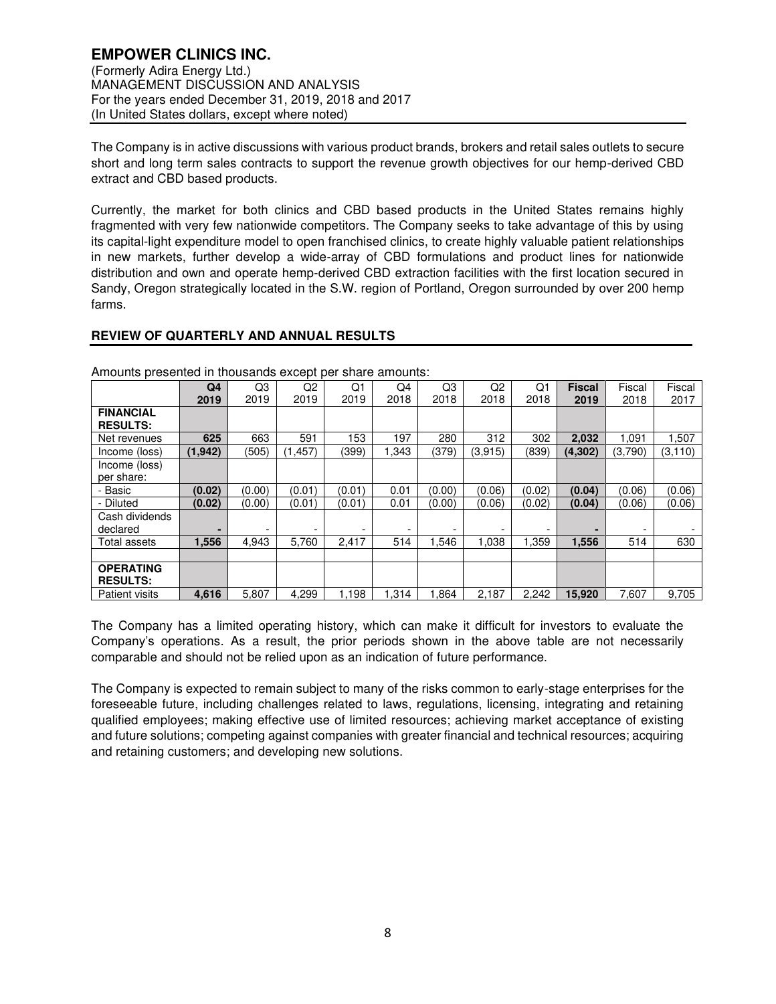The Company is in active discussions with various product brands, brokers and retail sales outlets to secure short and long term sales contracts to support the revenue growth objectives for our hemp-derived CBD extract and CBD based products.

Currently, the market for both clinics and CBD based products in the United States remains highly fragmented with very few nationwide competitors. The Company seeks to take advantage of this by using its capital-light expenditure model to open franchised clinics, to create highly valuable patient relationships in new markets, further develop a wide-array of CBD formulations and product lines for nationwide distribution and own and operate hemp-derived CBD extraction facilities with the first location secured in Sandy, Oregon strategically located in the S.W. region of Portland, Oregon surrounded by over 200 hemp farms.

## **REVIEW OF QUARTERLY AND ANNUAL RESULTS**

|                                     | Q4<br>2019 | Q3<br>2019               | Q2<br>2019 | Q1<br>2019 | Q4<br>2018 | Q <sub>3</sub><br>2018 | Q2<br>2018 | Q1<br>2018 | <b>Fiscal</b><br>2019 | Fiscal<br>2018 | Fiscal<br>2017 |
|-------------------------------------|------------|--------------------------|------------|------------|------------|------------------------|------------|------------|-----------------------|----------------|----------------|
| <b>FINANCIAL</b><br><b>RESULTS:</b> |            |                          |            |            |            |                        |            |            |                       |                |                |
| Net revenues                        | 625        | 663                      | 591        | 153        | 197        | 280                    | 312        | 302        | 2,032                 | 1,091          | 1,507          |
| Income (loss)                       | (1, 942)   | (505)                    | (1, 457)   | (399)      | 1,343      | (379)                  | (3, 915)   | (839)      | (4,302)               | (3,790)        | (3, 110)       |
| Income (loss)<br>per share:         |            |                          |            |            |            |                        |            |            |                       |                |                |
| - Basic                             | (0.02)     | (0.00)                   | (0.01)     | (0.01)     | 0.01       | (0.00)                 | (0.06)     | (0.02)     | (0.04)                | (0.06)         | (0.06)         |
| - Diluted                           | (0.02)     | (0.00)                   | (0.01)     | (0.01)     | 0.01       | (0.00)                 | (0.06)     | (0.02)     | (0.04)                | (0.06)         | (0.06)         |
| Cash dividends<br>declared          |            | $\overline{\phantom{a}}$ | -          | -          |            | -                      | -          |            |                       |                |                |
| Total assets                        | 1.556      | 4.943                    | 5.760      | 2,417      | 514        | 546. ا                 | 1.038      | 1,359      | 1,556                 | 514            | 630            |
|                                     |            |                          |            |            |            |                        |            |            |                       |                |                |
| <b>OPERATING</b><br><b>RESULTS:</b> |            |                          |            |            |            |                        |            |            |                       |                |                |
| <b>Patient visits</b>               | 4.616      | 5.807                    | 4.299      | 1.198      | 1.314      | 1.864                  | 2,187      | 2.242      | 15.920                | 7.607          | 9,705          |

Amounts presented in thousands except per share amounts:

The Company has a limited operating history, which can make it difficult for investors to evaluate the Company's operations. As a result, the prior periods shown in the above table are not necessarily comparable and should not be relied upon as an indication of future performance.

The Company is expected to remain subject to many of the risks common to early-stage enterprises for the foreseeable future, including challenges related to laws, regulations, licensing, integrating and retaining qualified employees; making effective use of limited resources; achieving market acceptance of existing and future solutions; competing against companies with greater financial and technical resources; acquiring and retaining customers; and developing new solutions.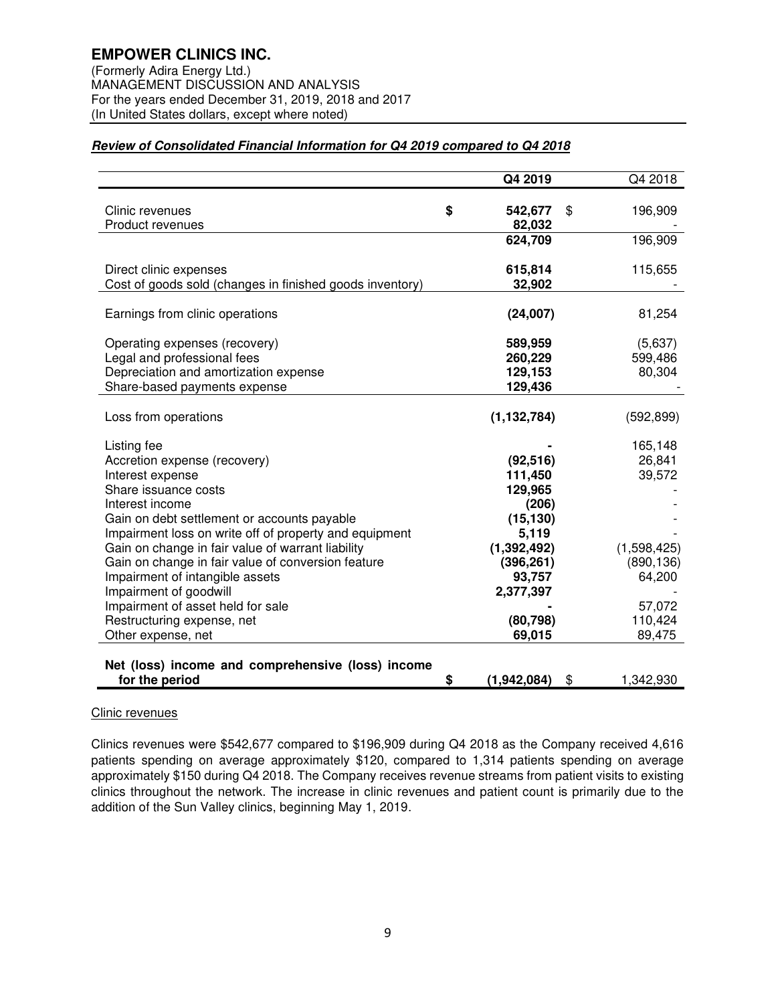(In United States dollars, except where noted)

## **Review of Consolidated Financial Information for Q4 2019 compared to Q4 2018**

|                                                                                                             | Q4 2019                 | Q4 2018         |
|-------------------------------------------------------------------------------------------------------------|-------------------------|-----------------|
|                                                                                                             |                         |                 |
| Clinic revenues<br>Product revenues                                                                         | \$<br>542,677<br>82,032 | \$<br>196,909   |
|                                                                                                             | 624,709                 | 196,909         |
|                                                                                                             |                         |                 |
| Direct clinic expenses                                                                                      | 615,814                 | 115,655         |
| Cost of goods sold (changes in finished goods inventory)                                                    | 32,902                  |                 |
| Earnings from clinic operations                                                                             | (24,007)                | 81,254          |
|                                                                                                             |                         |                 |
| Operating expenses (recovery)                                                                               | 589,959                 | (5,637)         |
| Legal and professional fees                                                                                 | 260,229                 | 599,486         |
| Depreciation and amortization expense<br>Share-based payments expense                                       | 129,153<br>129,436      | 80,304          |
|                                                                                                             |                         |                 |
| Loss from operations                                                                                        | (1, 132, 784)           | (592, 899)      |
| Listing fee                                                                                                 |                         | 165,148         |
| Accretion expense (recovery)                                                                                | (92, 516)               | 26,841          |
| Interest expense                                                                                            | 111,450                 | 39,572          |
| Share issuance costs                                                                                        | 129,965                 |                 |
| Interest income                                                                                             | (206)                   |                 |
| Gain on debt settlement or accounts payable                                                                 | (15, 130)               |                 |
| Impairment loss on write off of property and equipment<br>Gain on change in fair value of warrant liability | 5,119<br>(1, 392, 492)  | (1,598,425)     |
| Gain on change in fair value of conversion feature                                                          | (396, 261)              | (890, 136)      |
| Impairment of intangible assets                                                                             | 93,757                  | 64,200          |
| Impairment of goodwill                                                                                      | 2,377,397               |                 |
| Impairment of asset held for sale                                                                           |                         | 57,072          |
| Restructuring expense, net                                                                                  | (80, 798)               | 110,424         |
| Other expense, net                                                                                          | 69,015                  | 89,475          |
| Net (loss) income and comprehensive (loss) income                                                           |                         |                 |
| for the period                                                                                              | \$<br>(1,942,084)       | \$<br>1,342,930 |

#### Clinic revenues

Clinics revenues were \$542,677 compared to \$196,909 during Q4 2018 as the Company received 4,616 patients spending on average approximately \$120, compared to 1,314 patients spending on average approximately \$150 during Q4 2018. The Company receives revenue streams from patient visits to existing clinics throughout the network. The increase in clinic revenues and patient count is primarily due to the addition of the Sun Valley clinics, beginning May 1, 2019.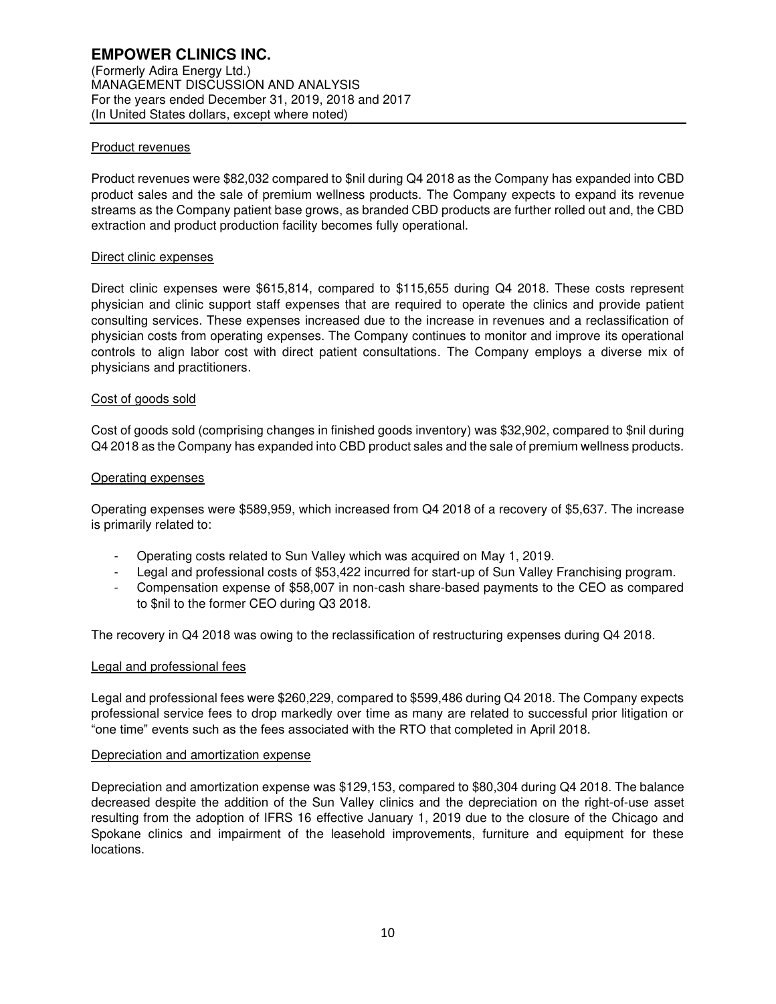### Product revenues

Product revenues were \$82,032 compared to \$nil during Q4 2018 as the Company has expanded into CBD product sales and the sale of premium wellness products. The Company expects to expand its revenue streams as the Company patient base grows, as branded CBD products are further rolled out and, the CBD extraction and product production facility becomes fully operational.

#### Direct clinic expenses

Direct clinic expenses were \$615,814, compared to \$115,655 during Q4 2018. These costs represent physician and clinic support staff expenses that are required to operate the clinics and provide patient consulting services. These expenses increased due to the increase in revenues and a reclassification of physician costs from operating expenses. The Company continues to monitor and improve its operational controls to align labor cost with direct patient consultations. The Company employs a diverse mix of physicians and practitioners.

## Cost of goods sold

Cost of goods sold (comprising changes in finished goods inventory) was \$32,902, compared to \$nil during Q4 2018 as the Company has expanded into CBD product sales and the sale of premium wellness products.

## Operating expenses

Operating expenses were \$589,959, which increased from Q4 2018 of a recovery of \$5,637. The increase is primarily related to:

- Operating costs related to Sun Valley which was acquired on May 1, 2019.
- Legal and professional costs of \$53,422 incurred for start-up of Sun Valley Franchising program.
- Compensation expense of \$58,007 in non-cash share-based payments to the CEO as compared to \$nil to the former CEO during Q3 2018.

The recovery in Q4 2018 was owing to the reclassification of restructuring expenses during Q4 2018.

#### Legal and professional fees

Legal and professional fees were \$260,229, compared to \$599,486 during Q4 2018. The Company expects professional service fees to drop markedly over time as many are related to successful prior litigation or "one time" events such as the fees associated with the RTO that completed in April 2018.

#### Depreciation and amortization expense

Depreciation and amortization expense was \$129,153, compared to \$80,304 during Q4 2018. The balance decreased despite the addition of the Sun Valley clinics and the depreciation on the right-of-use asset resulting from the adoption of IFRS 16 effective January 1, 2019 due to the closure of the Chicago and Spokane clinics and impairment of the leasehold improvements, furniture and equipment for these locations.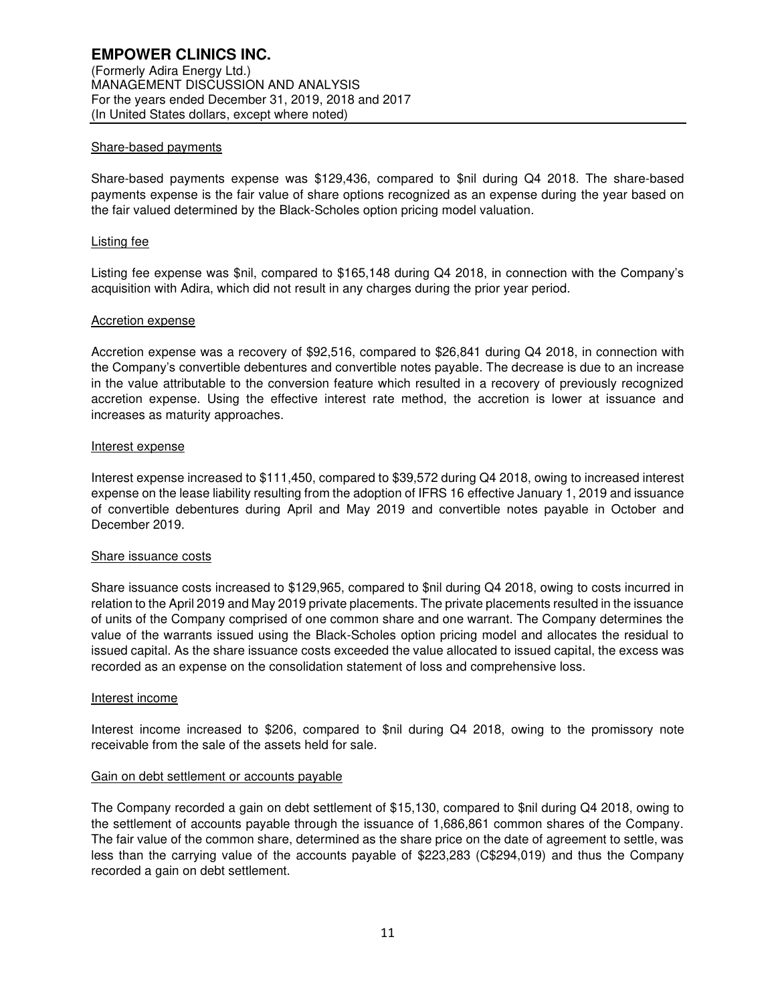#### Share-based payments

Share-based payments expense was \$129,436, compared to \$nil during Q4 2018. The share-based payments expense is the fair value of share options recognized as an expense during the year based on the fair valued determined by the Black-Scholes option pricing model valuation.

#### Listing fee

Listing fee expense was \$nil, compared to \$165,148 during Q4 2018, in connection with the Company's acquisition with Adira, which did not result in any charges during the prior year period.

#### Accretion expense

Accretion expense was a recovery of \$92,516, compared to \$26,841 during Q4 2018, in connection with the Company's convertible debentures and convertible notes payable. The decrease is due to an increase in the value attributable to the conversion feature which resulted in a recovery of previously recognized accretion expense. Using the effective interest rate method, the accretion is lower at issuance and increases as maturity approaches.

#### Interest expense

Interest expense increased to \$111,450, compared to \$39,572 during Q4 2018, owing to increased interest expense on the lease liability resulting from the adoption of IFRS 16 effective January 1, 2019 and issuance of convertible debentures during April and May 2019 and convertible notes payable in October and December 2019.

#### Share issuance costs

Share issuance costs increased to \$129,965, compared to \$nil during Q4 2018, owing to costs incurred in relation to the April 2019 and May 2019 private placements. The private placements resulted in the issuance of units of the Company comprised of one common share and one warrant. The Company determines the value of the warrants issued using the Black-Scholes option pricing model and allocates the residual to issued capital. As the share issuance costs exceeded the value allocated to issued capital, the excess was recorded as an expense on the consolidation statement of loss and comprehensive loss.

#### Interest income

Interest income increased to \$206, compared to \$nil during Q4 2018, owing to the promissory note receivable from the sale of the assets held for sale.

#### Gain on debt settlement or accounts payable

The Company recorded a gain on debt settlement of \$15,130, compared to \$nil during Q4 2018, owing to the settlement of accounts payable through the issuance of 1,686,861 common shares of the Company. The fair value of the common share, determined as the share price on the date of agreement to settle, was less than the carrying value of the accounts payable of \$223,283 (C\$294,019) and thus the Company recorded a gain on debt settlement.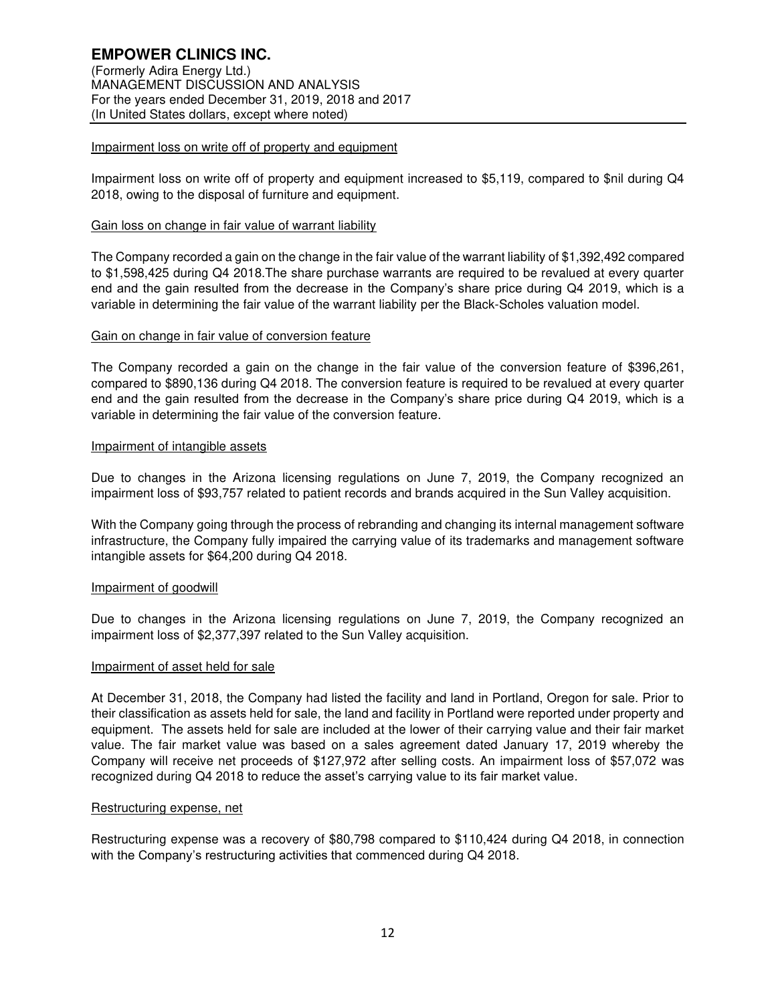### Impairment loss on write off of property and equipment

Impairment loss on write off of property and equipment increased to \$5,119, compared to \$nil during Q4 2018, owing to the disposal of furniture and equipment.

### Gain loss on change in fair value of warrant liability

The Company recorded a gain on the change in the fair value of the warrant liability of \$1,392,492 compared to \$1,598,425 during Q4 2018.The share purchase warrants are required to be revalued at every quarter end and the gain resulted from the decrease in the Company's share price during Q4 2019, which is a variable in determining the fair value of the warrant liability per the Black-Scholes valuation model.

#### Gain on change in fair value of conversion feature

The Company recorded a gain on the change in the fair value of the conversion feature of \$396,261, compared to \$890,136 during Q4 2018. The conversion feature is required to be revalued at every quarter end and the gain resulted from the decrease in the Company's share price during Q4 2019, which is a variable in determining the fair value of the conversion feature.

## Impairment of intangible assets

Due to changes in the Arizona licensing regulations on June 7, 2019, the Company recognized an impairment loss of \$93,757 related to patient records and brands acquired in the Sun Valley acquisition.

With the Company going through the process of rebranding and changing its internal management software infrastructure, the Company fully impaired the carrying value of its trademarks and management software intangible assets for \$64,200 during Q4 2018.

#### Impairment of goodwill

Due to changes in the Arizona licensing regulations on June 7, 2019, the Company recognized an impairment loss of \$2,377,397 related to the Sun Valley acquisition.

#### Impairment of asset held for sale

At December 31, 2018, the Company had listed the facility and land in Portland, Oregon for sale. Prior to their classification as assets held for sale, the land and facility in Portland were reported under property and equipment. The assets held for sale are included at the lower of their carrying value and their fair market value. The fair market value was based on a sales agreement dated January 17, 2019 whereby the Company will receive net proceeds of \$127,972 after selling costs. An impairment loss of \$57,072 was recognized during Q4 2018 to reduce the asset's carrying value to its fair market value.

## Restructuring expense, net

Restructuring expense was a recovery of \$80,798 compared to \$110,424 during Q4 2018, in connection with the Company's restructuring activities that commenced during Q4 2018.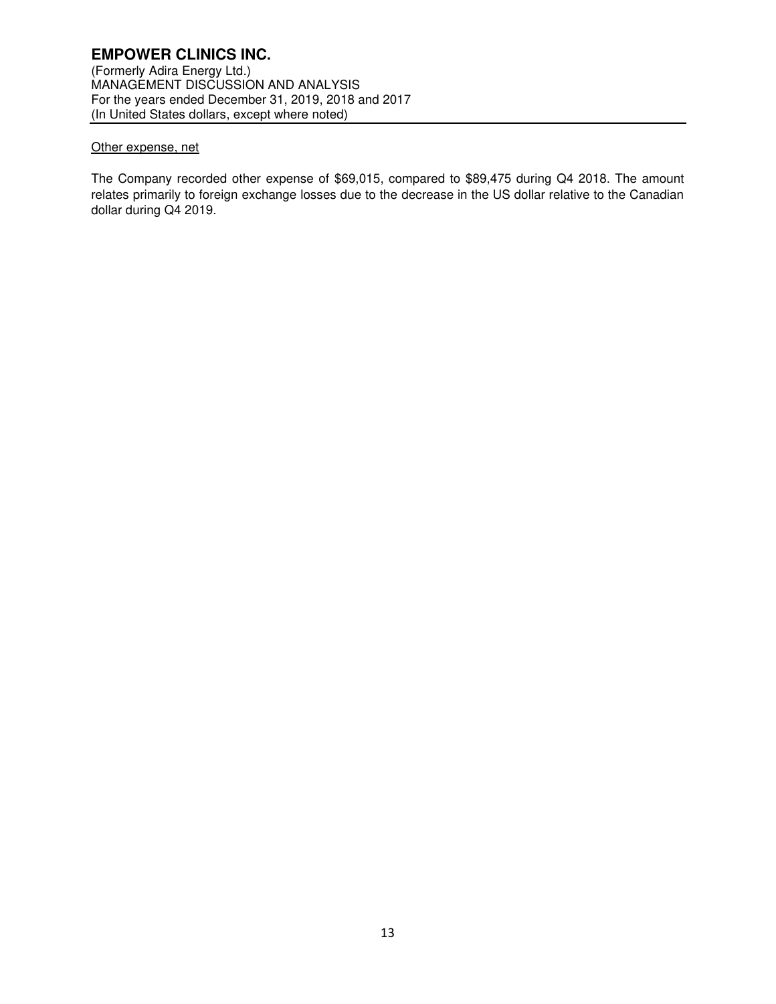# **EMPOWER CLINICS INC.**

(Formerly Adira Energy Ltd.) MANAGEMENT DISCUSSION AND ANALYSIS For the years ended December 31, 2019, 2018 and 2017 (In United States dollars, except where noted)

### Other expense, net

The Company recorded other expense of \$69,015, compared to \$89,475 during Q4 2018. The amount relates primarily to foreign exchange losses due to the decrease in the US dollar relative to the Canadian dollar during Q4 2019.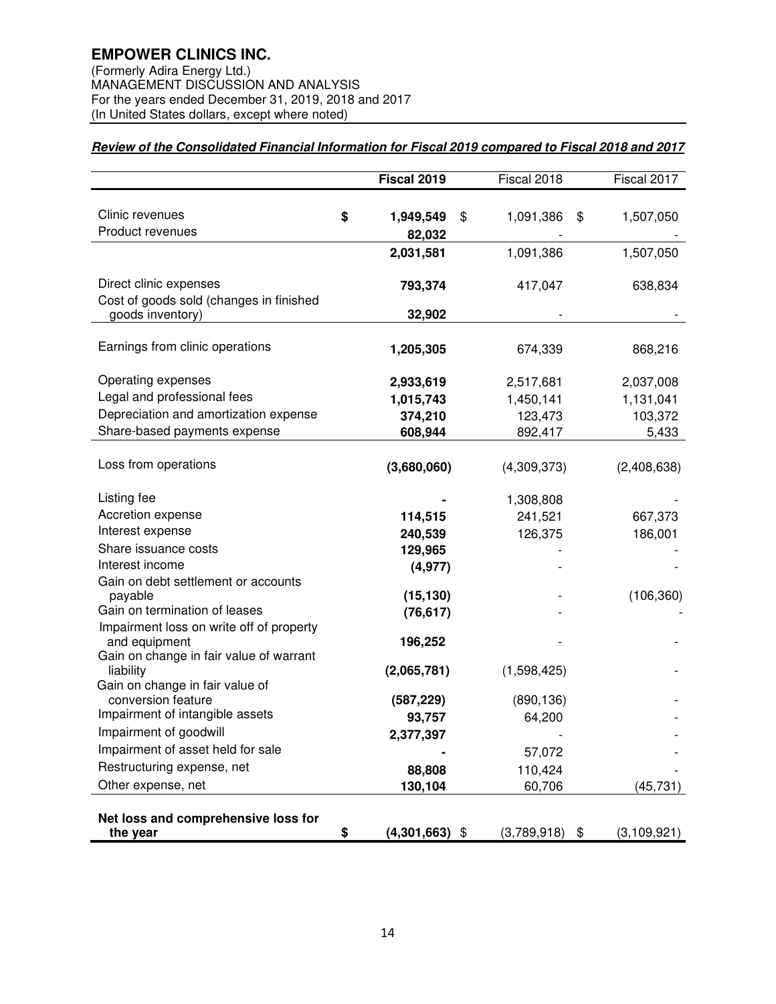(Formerly Adira Energy Ltd.) MANAGEMENT DISCUSSION AND ANALYSIS For the years ended December 31, 2019, 2018 and 2017 (In United States dollars, except where noted)

# **Review of the Consolidated Financial Information for Fiscal 2019 compared to Fiscal 2018 and 2017**

|                                                                                       | Fiscal 2019               | Fiscal 2018      | Fiscal 2017     |
|---------------------------------------------------------------------------------------|---------------------------|------------------|-----------------|
| Clinic revenues<br>Product revenues                                                   | \$<br>1,949,549<br>82,032 | \$<br>1,091,386  | \$<br>1,507,050 |
|                                                                                       | 2,031,581                 | 1,091,386        | 1,507,050       |
| Direct clinic expenses<br>Cost of goods sold (changes in finished<br>goods inventory) | 793,374<br>32,902         | 417,047          | 638,834         |
|                                                                                       |                           |                  |                 |
| Earnings from clinic operations                                                       | 1,205,305                 | 674,339          | 868,216         |
| Operating expenses                                                                    | 2,933,619                 | 2,517,681        | 2,037,008       |
| Legal and professional fees                                                           | 1,015,743                 | 1,450,141        | 1,131,041       |
| Depreciation and amortization expense                                                 | 374,210                   | 123,473          | 103,372         |
| Share-based payments expense                                                          | 608,944                   | 892,417          | 5,433           |
| Loss from operations                                                                  | (3,680,060)               | (4,309,373)      | (2,408,638)     |
| Listing fee                                                                           |                           | 1,308,808        |                 |
| Accretion expense                                                                     | 114,515                   | 241,521          | 667,373         |
| Interest expense                                                                      | 240,539                   | 126,375          | 186,001         |
| Share issuance costs                                                                  | 129,965                   |                  |                 |
| Interest income                                                                       | (4, 977)                  |                  |                 |
| Gain on debt settlement or accounts                                                   |                           |                  |                 |
| payable                                                                               | (15, 130)                 |                  | (106, 360)      |
| Gain on termination of leases<br>Impairment loss on write off of property             | (76, 617)                 |                  |                 |
| and equipment                                                                         | 196,252                   |                  |                 |
| Gain on change in fair value of warrant                                               |                           |                  |                 |
| liability                                                                             | (2,065,781)               | (1,598,425)      |                 |
| Gain on change in fair value of                                                       |                           |                  |                 |
| conversion feature<br>Impairment of intangible assets                                 | (587, 229)                | (890, 136)       |                 |
| Impairment of goodwill                                                                | 93,757<br>2,377,397       | 64,200           |                 |
| Impairment of asset held for sale                                                     |                           | 57,072           |                 |
| Restructuring expense, net                                                            | 88,808                    | 110,424          |                 |
| Other expense, net                                                                    | 130,104                   | 60,706           | (45, 731)       |
|                                                                                       |                           |                  |                 |
| Net loss and comprehensive loss for<br>the year                                       | \$<br>$(4,301,663)$ \$    | $(3,789,918)$ \$ | (3,109,921)     |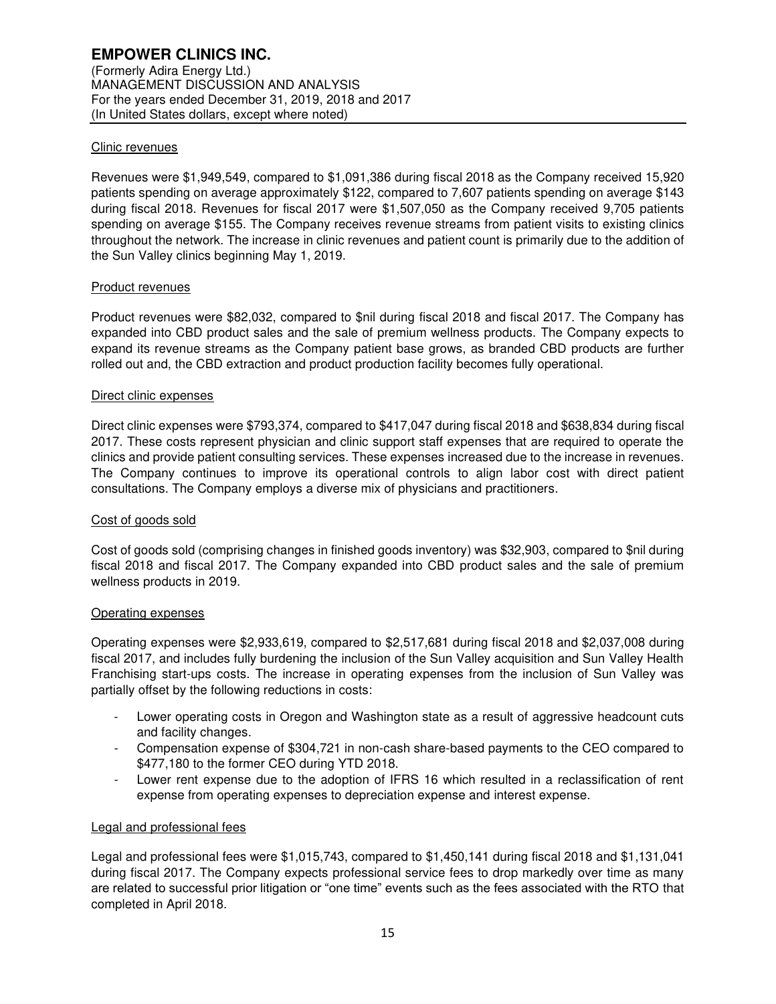### Clinic revenues

Revenues were \$1,949,549, compared to \$1,091,386 during fiscal 2018 as the Company received 15,920 patients spending on average approximately \$122, compared to 7,607 patients spending on average \$143 during fiscal 2018. Revenues for fiscal 2017 were \$1,507,050 as the Company received 9,705 patients spending on average \$155. The Company receives revenue streams from patient visits to existing clinics throughout the network. The increase in clinic revenues and patient count is primarily due to the addition of the Sun Valley clinics beginning May 1, 2019.

## Product revenues

Product revenues were \$82,032, compared to \$nil during fiscal 2018 and fiscal 2017. The Company has expanded into CBD product sales and the sale of premium wellness products. The Company expects to expand its revenue streams as the Company patient base grows, as branded CBD products are further rolled out and, the CBD extraction and product production facility becomes fully operational.

#### Direct clinic expenses

Direct clinic expenses were \$793,374, compared to \$417,047 during fiscal 2018 and \$638,834 during fiscal 2017. These costs represent physician and clinic support staff expenses that are required to operate the clinics and provide patient consulting services. These expenses increased due to the increase in revenues. The Company continues to improve its operational controls to align labor cost with direct patient consultations. The Company employs a diverse mix of physicians and practitioners.

#### Cost of goods sold

Cost of goods sold (comprising changes in finished goods inventory) was \$32,903, compared to \$nil during fiscal 2018 and fiscal 2017. The Company expanded into CBD product sales and the sale of premium wellness products in 2019.

#### Operating expenses

Operating expenses were \$2,933,619, compared to \$2,517,681 during fiscal 2018 and \$2,037,008 during fiscal 2017, and includes fully burdening the inclusion of the Sun Valley acquisition and Sun Valley Health Franchising start-ups costs. The increase in operating expenses from the inclusion of Sun Valley was partially offset by the following reductions in costs:

- Lower operating costs in Oregon and Washington state as a result of aggressive headcount cuts and facility changes.
- Compensation expense of \$304,721 in non-cash share-based payments to the CEO compared to \$477,180 to the former CEO during YTD 2018.
- Lower rent expense due to the adoption of IFRS 16 which resulted in a reclassification of rent expense from operating expenses to depreciation expense and interest expense.

## Legal and professional fees

Legal and professional fees were \$1,015,743, compared to \$1,450,141 during fiscal 2018 and \$1,131,041 during fiscal 2017. The Company expects professional service fees to drop markedly over time as many are related to successful prior litigation or "one time" events such as the fees associated with the RTO that completed in April 2018.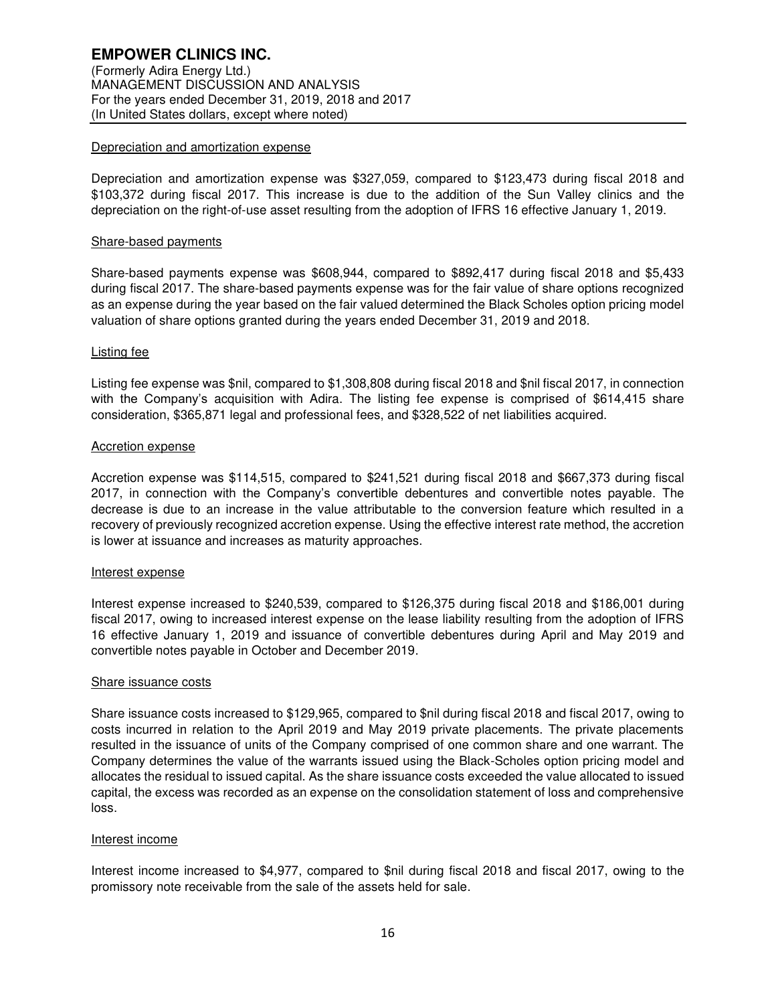#### Depreciation and amortization expense

Depreciation and amortization expense was \$327,059, compared to \$123,473 during fiscal 2018 and \$103,372 during fiscal 2017. This increase is due to the addition of the Sun Valley clinics and the depreciation on the right-of-use asset resulting from the adoption of IFRS 16 effective January 1, 2019.

#### Share-based payments

Share-based payments expense was \$608,944, compared to \$892,417 during fiscal 2018 and \$5,433 during fiscal 2017. The share-based payments expense was for the fair value of share options recognized as an expense during the year based on the fair valued determined the Black Scholes option pricing model valuation of share options granted during the years ended December 31, 2019 and 2018.

## Listing fee

Listing fee expense was \$nil, compared to \$1,308,808 during fiscal 2018 and \$nil fiscal 2017, in connection with the Company's acquisition with Adira. The listing fee expense is comprised of \$614,415 share consideration, \$365,871 legal and professional fees, and \$328,522 of net liabilities acquired.

## Accretion expense

Accretion expense was \$114,515, compared to \$241,521 during fiscal 2018 and \$667,373 during fiscal 2017, in connection with the Company's convertible debentures and convertible notes payable. The decrease is due to an increase in the value attributable to the conversion feature which resulted in a recovery of previously recognized accretion expense. Using the effective interest rate method, the accretion is lower at issuance and increases as maturity approaches.

#### Interest expense

Interest expense increased to \$240,539, compared to \$126,375 during fiscal 2018 and \$186,001 during fiscal 2017, owing to increased interest expense on the lease liability resulting from the adoption of IFRS 16 effective January 1, 2019 and issuance of convertible debentures during April and May 2019 and convertible notes payable in October and December 2019.

#### Share issuance costs

Share issuance costs increased to \$129,965, compared to \$nil during fiscal 2018 and fiscal 2017, owing to costs incurred in relation to the April 2019 and May 2019 private placements. The private placements resulted in the issuance of units of the Company comprised of one common share and one warrant. The Company determines the value of the warrants issued using the Black-Scholes option pricing model and allocates the residual to issued capital. As the share issuance costs exceeded the value allocated to issued capital, the excess was recorded as an expense on the consolidation statement of loss and comprehensive loss.

## Interest income

Interest income increased to \$4,977, compared to \$nil during fiscal 2018 and fiscal 2017, owing to the promissory note receivable from the sale of the assets held for sale.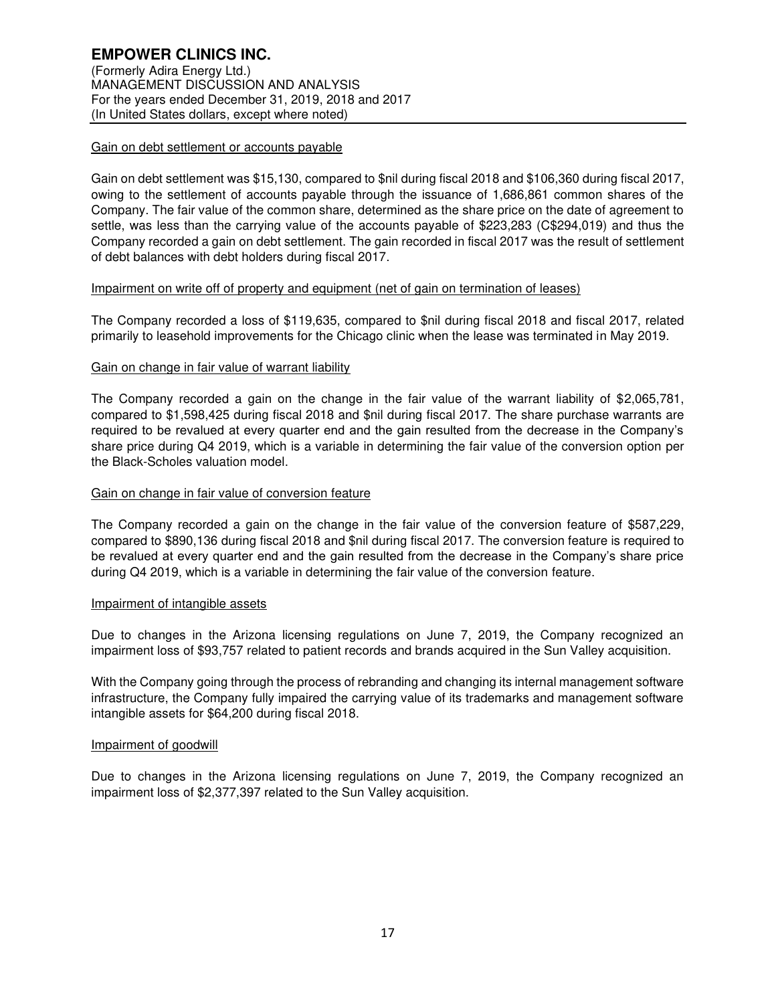### Gain on debt settlement or accounts payable

Gain on debt settlement was \$15,130, compared to \$nil during fiscal 2018 and \$106,360 during fiscal 2017, owing to the settlement of accounts payable through the issuance of 1,686,861 common shares of the Company. The fair value of the common share, determined as the share price on the date of agreement to settle, was less than the carrying value of the accounts payable of \$223,283 (C\$294,019) and thus the Company recorded a gain on debt settlement. The gain recorded in fiscal 2017 was the result of settlement of debt balances with debt holders during fiscal 2017.

## Impairment on write off of property and equipment (net of gain on termination of leases)

The Company recorded a loss of \$119,635, compared to \$nil during fiscal 2018 and fiscal 2017, related primarily to leasehold improvements for the Chicago clinic when the lease was terminated in May 2019.

## Gain on change in fair value of warrant liability

The Company recorded a gain on the change in the fair value of the warrant liability of \$2,065,781, compared to \$1,598,425 during fiscal 2018 and \$nil during fiscal 2017. The share purchase warrants are required to be revalued at every quarter end and the gain resulted from the decrease in the Company's share price during Q4 2019, which is a variable in determining the fair value of the conversion option per the Black-Scholes valuation model.

## Gain on change in fair value of conversion feature

The Company recorded a gain on the change in the fair value of the conversion feature of \$587,229, compared to \$890,136 during fiscal 2018 and \$nil during fiscal 2017. The conversion feature is required to be revalued at every quarter end and the gain resulted from the decrease in the Company's share price during Q4 2019, which is a variable in determining the fair value of the conversion feature.

#### Impairment of intangible assets

Due to changes in the Arizona licensing regulations on June 7, 2019, the Company recognized an impairment loss of \$93,757 related to patient records and brands acquired in the Sun Valley acquisition.

With the Company going through the process of rebranding and changing its internal management software infrastructure, the Company fully impaired the carrying value of its trademarks and management software intangible assets for \$64,200 during fiscal 2018.

#### Impairment of goodwill

Due to changes in the Arizona licensing regulations on June 7, 2019, the Company recognized an impairment loss of \$2,377,397 related to the Sun Valley acquisition.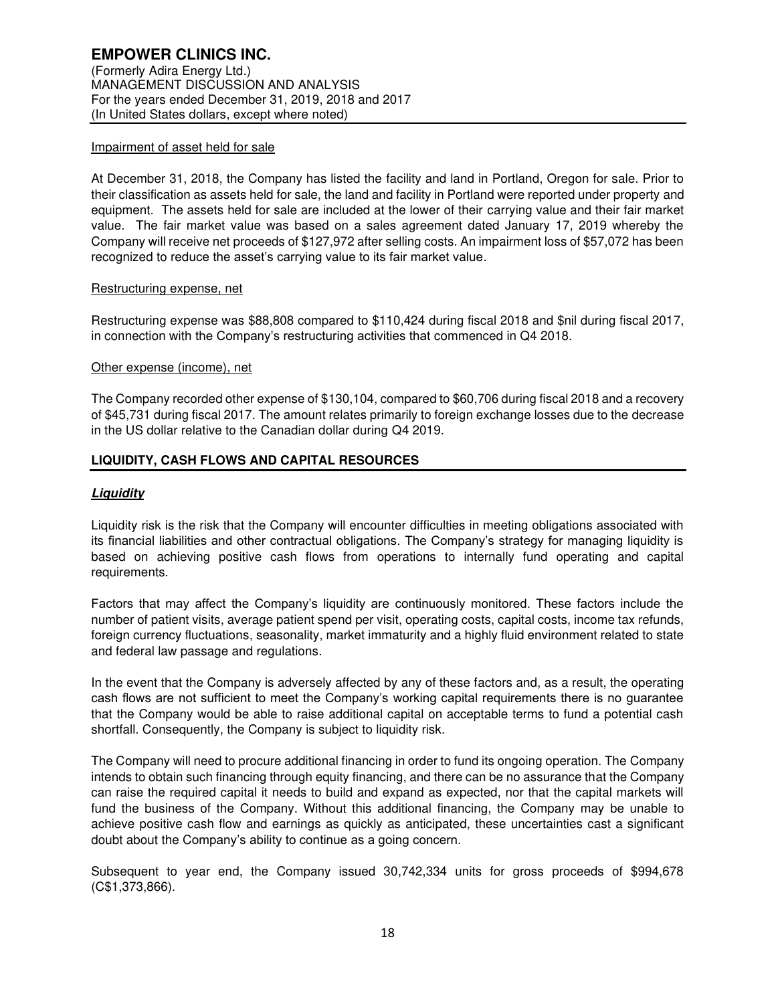#### Impairment of asset held for sale

At December 31, 2018, the Company has listed the facility and land in Portland, Oregon for sale. Prior to their classification as assets held for sale, the land and facility in Portland were reported under property and equipment. The assets held for sale are included at the lower of their carrying value and their fair market value. The fair market value was based on a sales agreement dated January 17, 2019 whereby the Company will receive net proceeds of \$127,972 after selling costs. An impairment loss of \$57,072 has been recognized to reduce the asset's carrying value to its fair market value.

## Restructuring expense, net

Restructuring expense was \$88,808 compared to \$110,424 during fiscal 2018 and \$nil during fiscal 2017, in connection with the Company's restructuring activities that commenced in Q4 2018.

## Other expense (income), net

The Company recorded other expense of \$130,104, compared to \$60,706 during fiscal 2018 and a recovery of \$45,731 during fiscal 2017. The amount relates primarily to foreign exchange losses due to the decrease in the US dollar relative to the Canadian dollar during Q4 2019.

## **LIQUIDITY, CASH FLOWS AND CAPITAL RESOURCES**

## **Liquidity**

Liquidity risk is the risk that the Company will encounter difficulties in meeting obligations associated with its financial liabilities and other contractual obligations. The Company's strategy for managing liquidity is based on achieving positive cash flows from operations to internally fund operating and capital requirements.

Factors that may affect the Company's liquidity are continuously monitored. These factors include the number of patient visits, average patient spend per visit, operating costs, capital costs, income tax refunds, foreign currency fluctuations, seasonality, market immaturity and a highly fluid environment related to state and federal law passage and regulations.

In the event that the Company is adversely affected by any of these factors and, as a result, the operating cash flows are not sufficient to meet the Company's working capital requirements there is no guarantee that the Company would be able to raise additional capital on acceptable terms to fund a potential cash shortfall. Consequently, the Company is subject to liquidity risk.

The Company will need to procure additional financing in order to fund its ongoing operation. The Company intends to obtain such financing through equity financing, and there can be no assurance that the Company can raise the required capital it needs to build and expand as expected, nor that the capital markets will fund the business of the Company. Without this additional financing, the Company may be unable to achieve positive cash flow and earnings as quickly as anticipated, these uncertainties cast a significant doubt about the Company's ability to continue as a going concern.

Subsequent to year end, the Company issued 30,742,334 units for gross proceeds of \$994,678 (C\$1,373,866).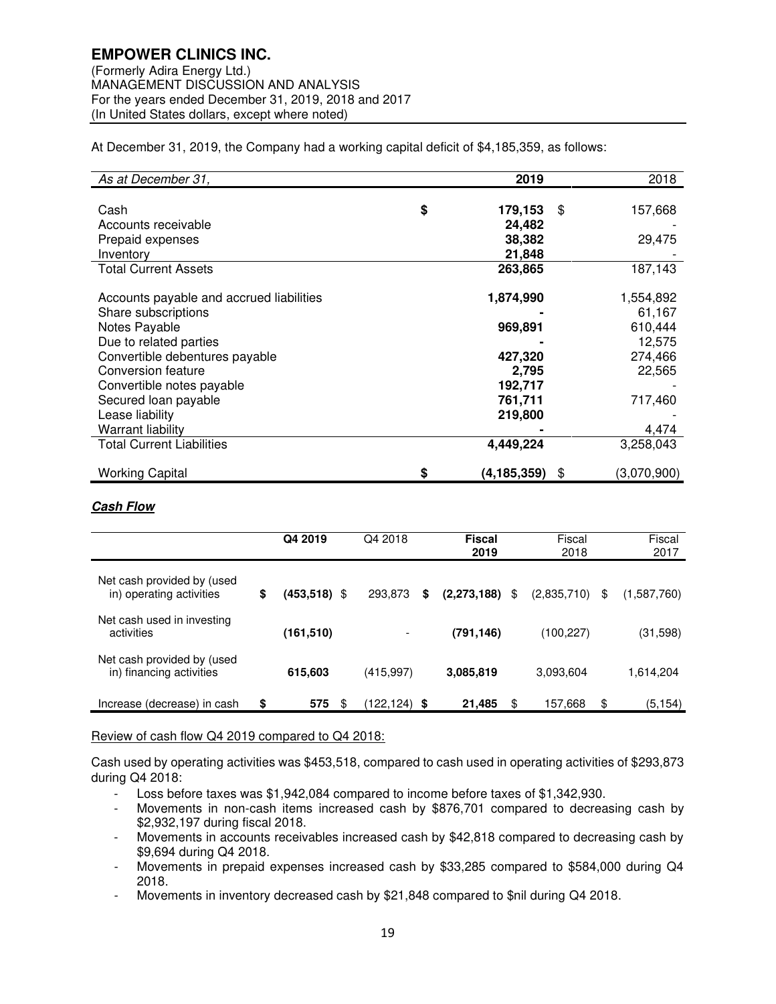At December 31, 2019, the Company had a working capital deficit of \$4,185,359, as follows:

| As at December 31,                       | 2019              | 2018              |
|------------------------------------------|-------------------|-------------------|
|                                          |                   |                   |
| Cash                                     | \$<br>179,153     | \$<br>157,668     |
| Accounts receivable                      | 24,482            |                   |
| Prepaid expenses                         | 38,382            | 29,475            |
| Inventory                                | 21,848            |                   |
| <b>Total Current Assets</b>              | 263,865           | 187,143           |
| Accounts payable and accrued liabilities | 1,874,990         | 1,554,892         |
| Share subscriptions                      |                   | 61,167            |
| Notes Payable                            | 969,891           | 610,444           |
| Due to related parties                   |                   | 12,575            |
| Convertible debentures payable           | 427,320           | 274,466           |
| Conversion feature                       | 2,795             | 22,565            |
| Convertible notes payable                | 192,717           |                   |
| Secured loan payable                     | 761,711           | 717,460           |
| Lease liability                          | 219,800           |                   |
| <b>Warrant liability</b>                 |                   | 4,474             |
| <b>Total Current Liabilities</b>         | 4,449,224         | 3,258,043         |
| <b>Working Capital</b>                   | \$<br>(4,185,359) | \$<br>(3,070,900) |

## **Cash Flow**

|                                                        | Q4 2019            | Q4 2018      | <b>Fiscal</b><br>2019 | Fiscal<br>2018    | Fiscal<br>2017    |
|--------------------------------------------------------|--------------------|--------------|-----------------------|-------------------|-------------------|
| Net cash provided by (used<br>in) operating activities | \$<br>(453,518) \$ | 293,873      | \$<br>(2, 273, 188)   | \$<br>(2,835,710) | \$<br>(1,587,760) |
| Net cash used in investing<br>activities               | (161, 510)         |              | (791, 146)            | (100,227)         | (31,598)          |
| Net cash provided by (used<br>in) financing activities | 615,603            | (415, 997)   | 3,085,819             | 3,093,604         | 1,614,204         |
| Increase (decrease) in cash                            | \$<br>575<br>\$    | (122,124) \$ | 21,485                | \$<br>157,668     | \$<br>(5, 154)    |

## Review of cash flow Q4 2019 compared to Q4 2018:

Cash used by operating activities was \$453,518, compared to cash used in operating activities of \$293,873 during Q4 2018:

- Loss before taxes was \$1,942,084 compared to income before taxes of \$1,342,930.

- Movements in non-cash items increased cash by \$876,701 compared to decreasing cash by \$2,932,197 during fiscal 2018.
- Movements in accounts receivables increased cash by \$42,818 compared to decreasing cash by \$9,694 during Q4 2018.
- Movements in prepaid expenses increased cash by \$33,285 compared to \$584,000 during Q4 2018.
- Movements in inventory decreased cash by \$21,848 compared to \$nil during Q4 2018.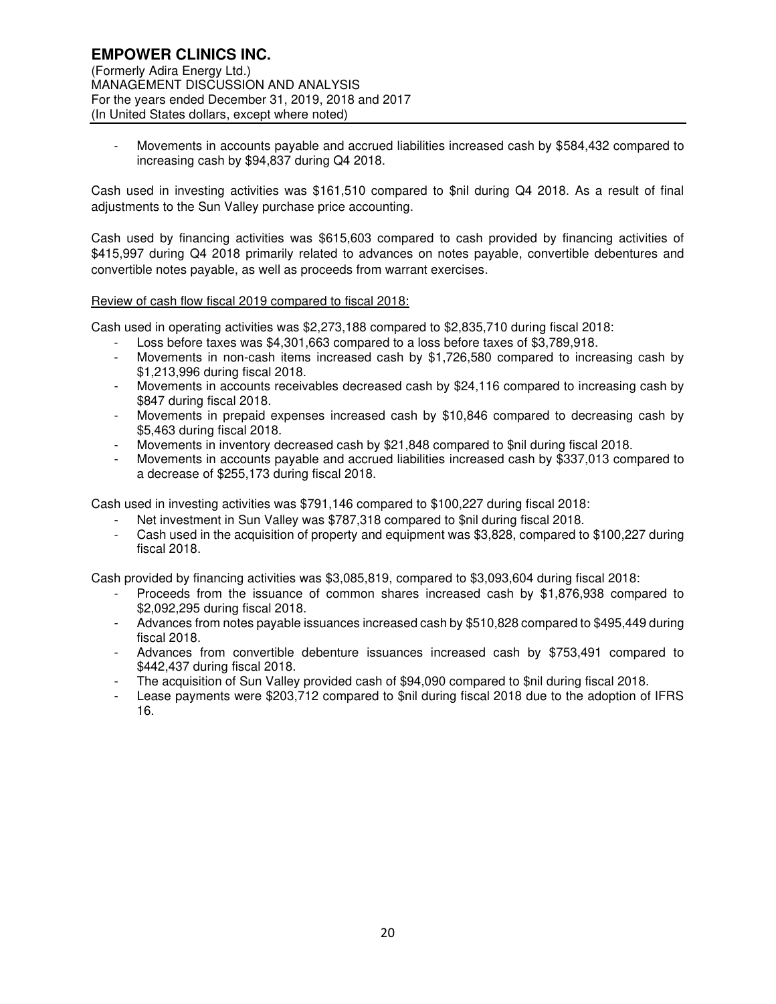- Movements in accounts payable and accrued liabilities increased cash by \$584,432 compared to increasing cash by \$94,837 during Q4 2018.

Cash used in investing activities was \$161,510 compared to \$nil during Q4 2018. As a result of final adjustments to the Sun Valley purchase price accounting.

Cash used by financing activities was \$615,603 compared to cash provided by financing activities of \$415,997 during Q4 2018 primarily related to advances on notes payable, convertible debentures and convertible notes payable, as well as proceeds from warrant exercises.

#### Review of cash flow fiscal 2019 compared to fiscal 2018:

Cash used in operating activities was \$2,273,188 compared to \$2,835,710 during fiscal 2018:

- Loss before taxes was \$4,301,663 compared to a loss before taxes of \$3,789,918.
- Movements in non-cash items increased cash by \$1,726,580 compared to increasing cash by \$1,213,996 during fiscal 2018.
- Movements in accounts receivables decreased cash by \$24,116 compared to increasing cash by \$847 during fiscal 2018.
- Movements in prepaid expenses increased cash by \$10,846 compared to decreasing cash by \$5,463 during fiscal 2018.
- Movements in inventory decreased cash by \$21,848 compared to \$nil during fiscal 2018.
- Movements in accounts payable and accrued liabilities increased cash by \$337,013 compared to a decrease of \$255,173 during fiscal 2018.

Cash used in investing activities was \$791,146 compared to \$100,227 during fiscal 2018:

- Net investment in Sun Valley was \$787,318 compared to \$nil during fiscal 2018.
- Cash used in the acquisition of property and equipment was \$3,828, compared to \$100,227 during fiscal 2018.

Cash provided by financing activities was \$3,085,819, compared to \$3,093,604 during fiscal 2018:

- Proceeds from the issuance of common shares increased cash by \$1,876,938 compared to \$2,092,295 during fiscal 2018.
- Advances from notes payable issuances increased cash by \$510,828 compared to \$495,449 during fiscal 2018.
- Advances from convertible debenture issuances increased cash by \$753,491 compared to \$442,437 during fiscal 2018.
- The acquisition of Sun Valley provided cash of \$94,090 compared to \$nil during fiscal 2018.
- Lease payments were \$203,712 compared to \$nil during fiscal 2018 due to the adoption of IFRS 16.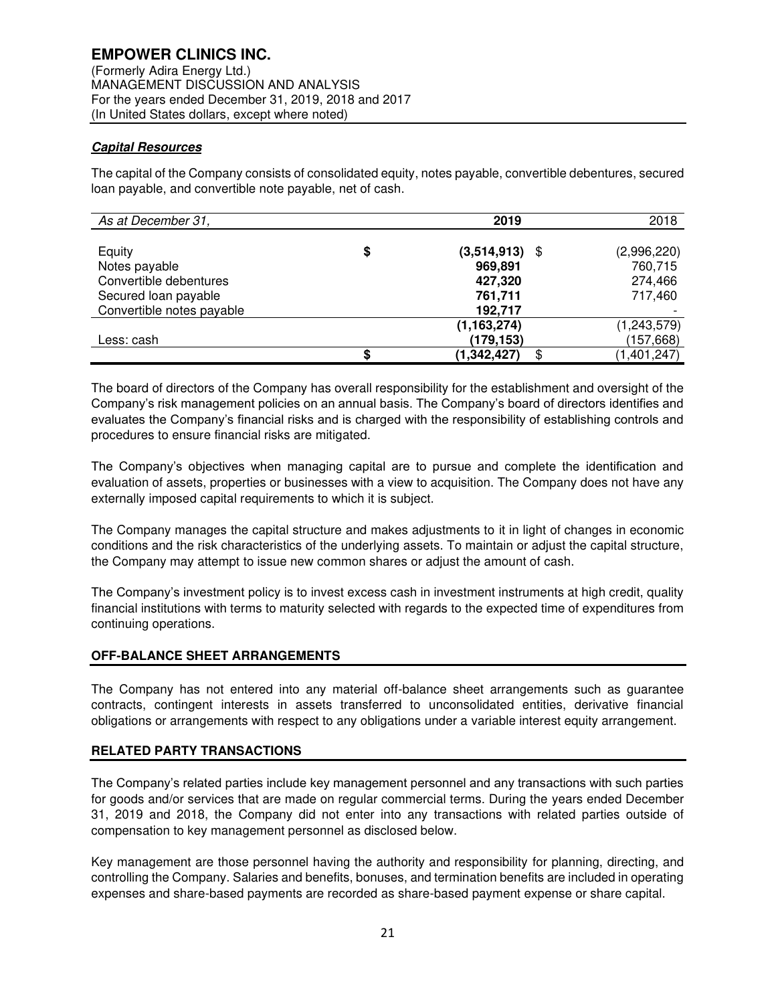## **Capital Resources**

The capital of the Company consists of consolidated equity, notes payable, convertible debentures, secured loan payable, and convertible note payable, net of cash.

| As at December 31,        |    | 2019                | 2018        |
|---------------------------|----|---------------------|-------------|
|                           |    |                     |             |
| Equity                    | \$ | $(3,514,913)$ \$    | (2,996,220) |
| Notes payable             |    | 969,891             | 760,715     |
| Convertible debentures    |    | 427,320             | 274,466     |
| Secured loan payable      |    | 761,711             | 717,460     |
| Convertible notes payable |    | 192,717             |             |
|                           |    | (1, 163, 274)       | (1,243,579) |
| Less: cash                |    | (179, 153)          | (157, 668)  |
|                           | S  | (1, 342, 427)<br>\$ | (1,401,247) |

The board of directors of the Company has overall responsibility for the establishment and oversight of the Company's risk management policies on an annual basis. The Company's board of directors identifies and evaluates the Company's financial risks and is charged with the responsibility of establishing controls and procedures to ensure financial risks are mitigated.

The Company's objectives when managing capital are to pursue and complete the identification and evaluation of assets, properties or businesses with a view to acquisition. The Company does not have any externally imposed capital requirements to which it is subject.

The Company manages the capital structure and makes adjustments to it in light of changes in economic conditions and the risk characteristics of the underlying assets. To maintain or adjust the capital structure, the Company may attempt to issue new common shares or adjust the amount of cash.

The Company's investment policy is to invest excess cash in investment instruments at high credit, quality financial institutions with terms to maturity selected with regards to the expected time of expenditures from continuing operations.

## **OFF-BALANCE SHEET ARRANGEMENTS**

The Company has not entered into any material off-balance sheet arrangements such as guarantee contracts, contingent interests in assets transferred to unconsolidated entities, derivative financial obligations or arrangements with respect to any obligations under a variable interest equity arrangement.

## **RELATED PARTY TRANSACTIONS**

The Company's related parties include key management personnel and any transactions with such parties for goods and/or services that are made on regular commercial terms. During the years ended December 31, 2019 and 2018, the Company did not enter into any transactions with related parties outside of compensation to key management personnel as disclosed below.

Key management are those personnel having the authority and responsibility for planning, directing, and controlling the Company. Salaries and benefits, bonuses, and termination benefits are included in operating expenses and share-based payments are recorded as share-based payment expense or share capital.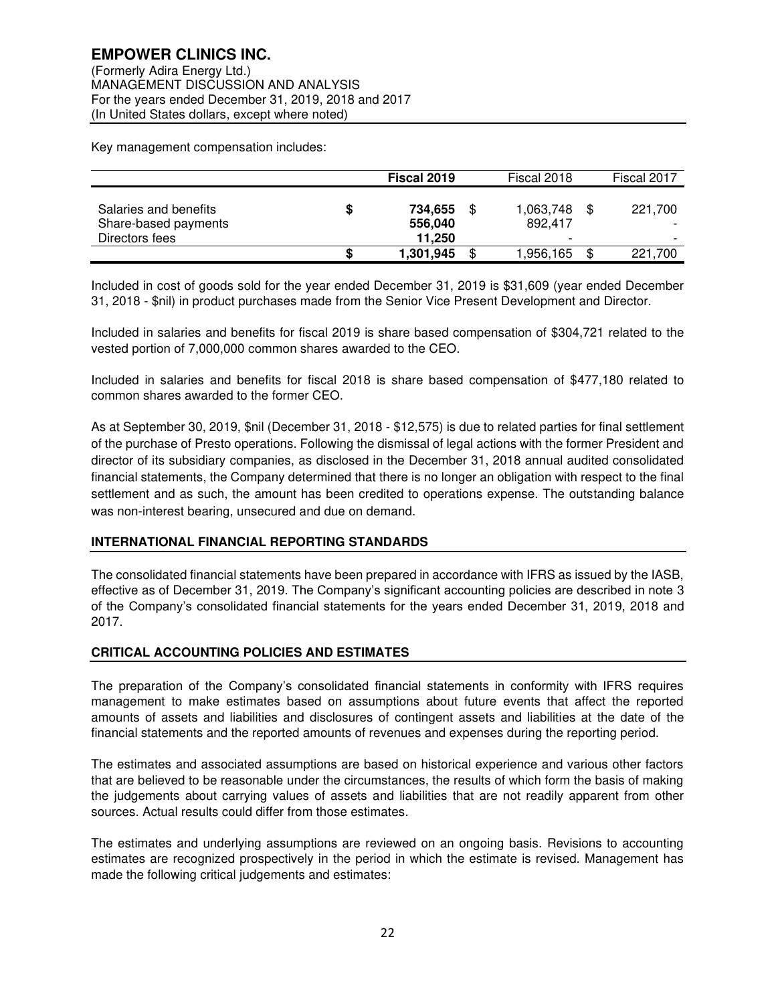Key management compensation includes:

|                                                                 | Fiscal 2019                        | Fiscal 2018                                            | Fiscal 2017                         |
|-----------------------------------------------------------------|------------------------------------|--------------------------------------------------------|-------------------------------------|
| Salaries and benefits<br>Share-based payments<br>Directors fees | \$<br>734.655<br>556,040<br>11.250 | \$<br>1,063,748<br>892.417<br>$\overline{\phantom{0}}$ | 221.700<br>$\overline{\phantom{0}}$ |
|                                                                 | 1,301,945                          | \$<br>1.956.165                                        | 221.700                             |

Included in cost of goods sold for the year ended December 31, 2019 is \$31,609 (year ended December 31, 2018 - \$nil) in product purchases made from the Senior Vice Present Development and Director.

Included in salaries and benefits for fiscal 2019 is share based compensation of \$304,721 related to the vested portion of 7,000,000 common shares awarded to the CEO.

Included in salaries and benefits for fiscal 2018 is share based compensation of \$477,180 related to common shares awarded to the former CEO.

As at September 30, 2019, \$nil (December 31, 2018 - \$12,575) is due to related parties for final settlement of the purchase of Presto operations. Following the dismissal of legal actions with the former President and director of its subsidiary companies, as disclosed in the December 31, 2018 annual audited consolidated financial statements, the Company determined that there is no longer an obligation with respect to the final settlement and as such, the amount has been credited to operations expense. The outstanding balance was non-interest bearing, unsecured and due on demand.

#### **INTERNATIONAL FINANCIAL REPORTING STANDARDS**

The consolidated financial statements have been prepared in accordance with IFRS as issued by the IASB, effective as of December 31, 2019. The Company's significant accounting policies are described in note 3 of the Company's consolidated financial statements for the years ended December 31, 2019, 2018 and 2017.

#### **CRITICAL ACCOUNTING POLICIES AND ESTIMATES**

The preparation of the Company's consolidated financial statements in conformity with IFRS requires management to make estimates based on assumptions about future events that affect the reported amounts of assets and liabilities and disclosures of contingent assets and liabilities at the date of the financial statements and the reported amounts of revenues and expenses during the reporting period.

The estimates and associated assumptions are based on historical experience and various other factors that are believed to be reasonable under the circumstances, the results of which form the basis of making the judgements about carrying values of assets and liabilities that are not readily apparent from other sources. Actual results could differ from those estimates.

The estimates and underlying assumptions are reviewed on an ongoing basis. Revisions to accounting estimates are recognized prospectively in the period in which the estimate is revised. Management has made the following critical judgements and estimates: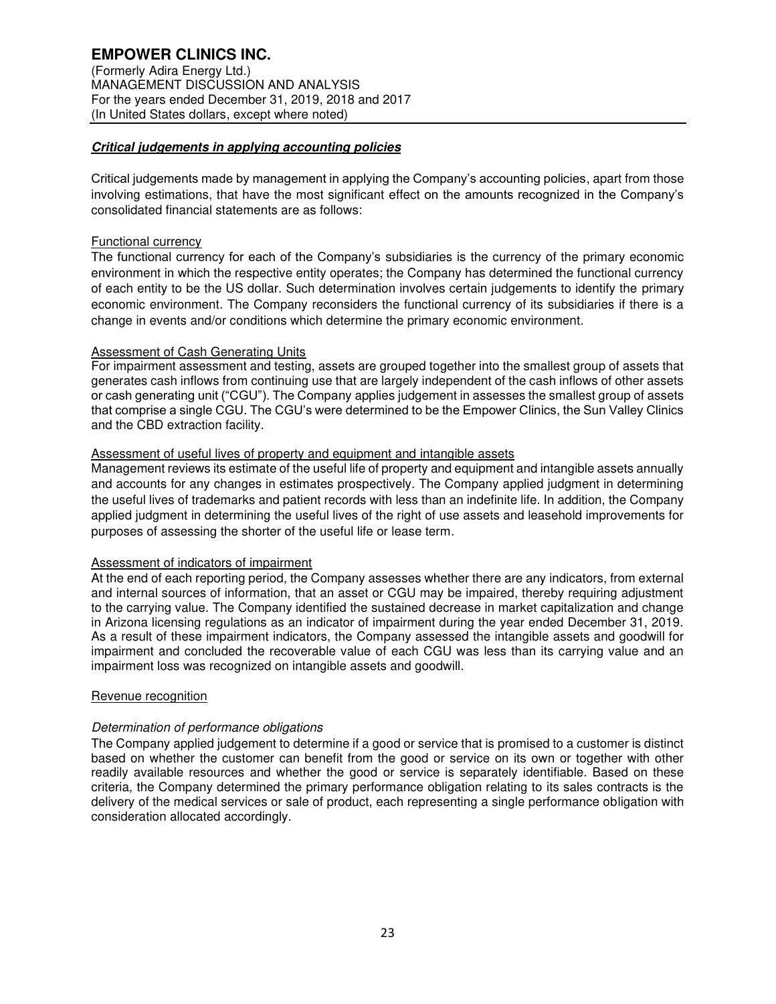## **Critical judgements in applying accounting policies**

Critical judgements made by management in applying the Company's accounting policies, apart from those involving estimations, that have the most significant effect on the amounts recognized in the Company's consolidated financial statements are as follows:

#### Functional currency

The functional currency for each of the Company's subsidiaries is the currency of the primary economic environment in which the respective entity operates; the Company has determined the functional currency of each entity to be the US dollar. Such determination involves certain judgements to identify the primary economic environment. The Company reconsiders the functional currency of its subsidiaries if there is a change in events and/or conditions which determine the primary economic environment.

#### Assessment of Cash Generating Units

For impairment assessment and testing, assets are grouped together into the smallest group of assets that generates cash inflows from continuing use that are largely independent of the cash inflows of other assets or cash generating unit ("CGU"). The Company applies judgement in assesses the smallest group of assets that comprise a single CGU. The CGU's were determined to be the Empower Clinics, the Sun Valley Clinics and the CBD extraction facility.

## Assessment of useful lives of property and equipment and intangible assets

Management reviews its estimate of the useful life of property and equipment and intangible assets annually and accounts for any changes in estimates prospectively. The Company applied judgment in determining the useful lives of trademarks and patient records with less than an indefinite life. In addition, the Company applied judgment in determining the useful lives of the right of use assets and leasehold improvements for purposes of assessing the shorter of the useful life or lease term.

#### Assessment of indicators of impairment

At the end of each reporting period, the Company assesses whether there are any indicators, from external and internal sources of information, that an asset or CGU may be impaired, thereby requiring adjustment to the carrying value. The Company identified the sustained decrease in market capitalization and change in Arizona licensing regulations as an indicator of impairment during the year ended December 31, 2019. As a result of these impairment indicators, the Company assessed the intangible assets and goodwill for impairment and concluded the recoverable value of each CGU was less than its carrying value and an impairment loss was recognized on intangible assets and goodwill.

#### Revenue recognition

#### Determination of performance obligations

The Company applied judgement to determine if a good or service that is promised to a customer is distinct based on whether the customer can benefit from the good or service on its own or together with other readily available resources and whether the good or service is separately identifiable. Based on these criteria, the Company determined the primary performance obligation relating to its sales contracts is the delivery of the medical services or sale of product, each representing a single performance obligation with consideration allocated accordingly.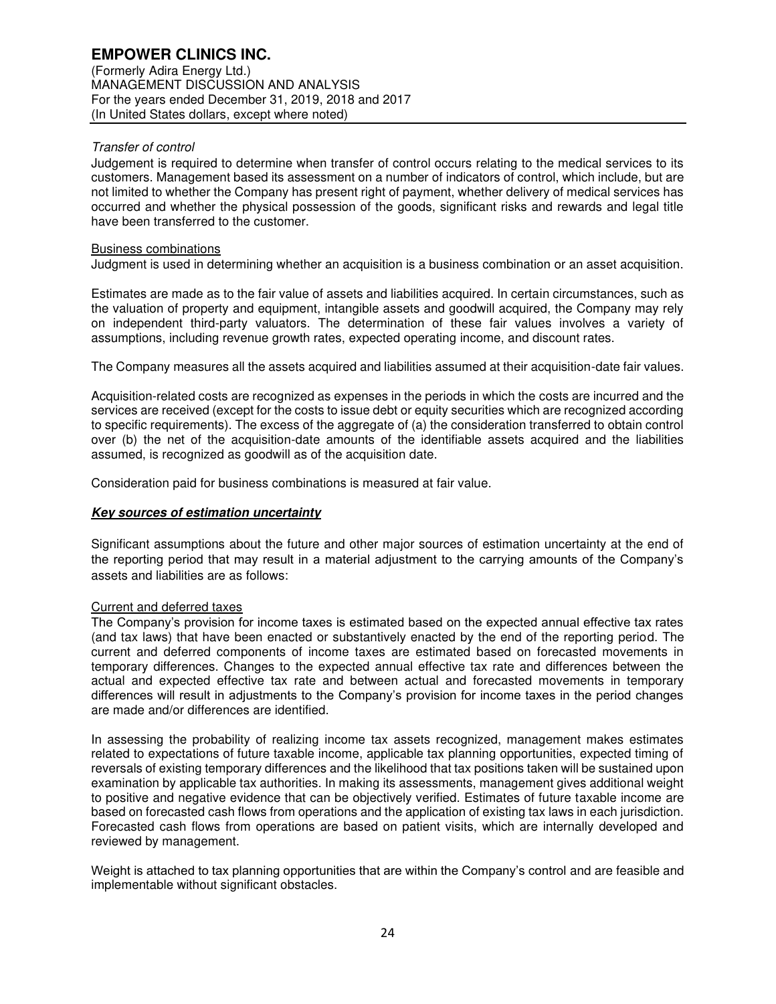(Formerly Adira Energy Ltd.) MANAGEMENT DISCUSSION AND ANALYSIS For the years ended December 31, 2019, 2018 and 2017 (In United States dollars, except where noted)

## Transfer of control

Judgement is required to determine when transfer of control occurs relating to the medical services to its customers. Management based its assessment on a number of indicators of control, which include, but are not limited to whether the Company has present right of payment, whether delivery of medical services has occurred and whether the physical possession of the goods, significant risks and rewards and legal title have been transferred to the customer.

#### Business combinations

Judgment is used in determining whether an acquisition is a business combination or an asset acquisition.

Estimates are made as to the fair value of assets and liabilities acquired. In certain circumstances, such as the valuation of property and equipment, intangible assets and goodwill acquired, the Company may rely on independent third-party valuators. The determination of these fair values involves a variety of assumptions, including revenue growth rates, expected operating income, and discount rates.

The Company measures all the assets acquired and liabilities assumed at their acquisition-date fair values.

Acquisition-related costs are recognized as expenses in the periods in which the costs are incurred and the services are received (except for the costs to issue debt or equity securities which are recognized according to specific requirements). The excess of the aggregate of (a) the consideration transferred to obtain control over (b) the net of the acquisition-date amounts of the identifiable assets acquired and the liabilities assumed, is recognized as goodwill as of the acquisition date.

Consideration paid for business combinations is measured at fair value.

## **Key sources of estimation uncertainty**

Significant assumptions about the future and other major sources of estimation uncertainty at the end of the reporting period that may result in a material adjustment to the carrying amounts of the Company's assets and liabilities are as follows:

## Current and deferred taxes

The Company's provision for income taxes is estimated based on the expected annual effective tax rates (and tax laws) that have been enacted or substantively enacted by the end of the reporting period. The current and deferred components of income taxes are estimated based on forecasted movements in temporary differences. Changes to the expected annual effective tax rate and differences between the actual and expected effective tax rate and between actual and forecasted movements in temporary differences will result in adjustments to the Company's provision for income taxes in the period changes are made and/or differences are identified.

In assessing the probability of realizing income tax assets recognized, management makes estimates related to expectations of future taxable income, applicable tax planning opportunities, expected timing of reversals of existing temporary differences and the likelihood that tax positions taken will be sustained upon examination by applicable tax authorities. In making its assessments, management gives additional weight to positive and negative evidence that can be objectively verified. Estimates of future taxable income are based on forecasted cash flows from operations and the application of existing tax laws in each jurisdiction. Forecasted cash flows from operations are based on patient visits, which are internally developed and reviewed by management.

Weight is attached to tax planning opportunities that are within the Company's control and are feasible and implementable without significant obstacles.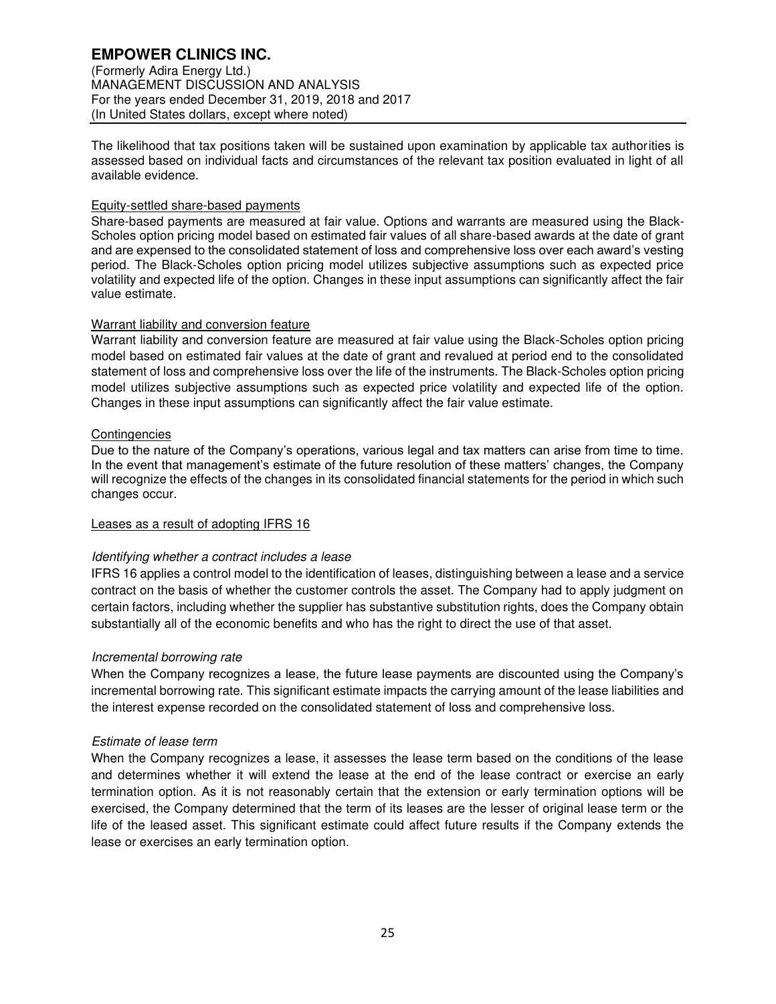# **EMPOWER CLINICS INC.**

(Formerly Adira Energy Ltd.) MANAGEMENT DISCUSSION AND ANALYSIS For the years ended December 31, 2019, 2018 and 2017 (In United States dollars, except where noted)

The likelihood that tax positions taken will be sustained upon examination by applicable tax authorities is assessed based on individual facts and circumstances of the relevant tax position evaluated in light of all available evidence.

## Equity-settled share-based payments

Share-based payments are measured at fair value. Options and warrants are measured using the Black-Scholes option pricing model based on estimated fair values of all share-based awards at the date of grant and are expensed to the consolidated statement of loss and comprehensive loss over each award's vesting period. The Black-Scholes option pricing model utilizes subjective assumptions such as expected price volatility and expected life of the option. Changes in these input assumptions can significantly affect the fair value estimate.

## Warrant liability and conversion feature

Warrant liability and conversion feature are measured at fair value using the Black-Scholes option pricing model based on estimated fair values at the date of grant and revalued at period end to the consolidated statement of loss and comprehensive loss over the life of the instruments. The Black-Scholes option pricing model utilizes subjective assumptions such as expected price volatility and expected life of the option. Changes in these input assumptions can significantly affect the fair value estimate.

## **Contingencies**

Due to the nature of the Company's operations, various legal and tax matters can arise from time to time. In the event that management's estimate of the future resolution of these matters' changes, the Company will recognize the effects of the changes in its consolidated financial statements for the period in which such changes occur.

## Leases as a result of adopting IFRS 16

## Identifying whether a contract includes a lease

IFRS 16 applies a control model to the identification of leases, distinguishing between a lease and a service contract on the basis of whether the customer controls the asset. The Company had to apply judgment on certain factors, including whether the supplier has substantive substitution rights, does the Company obtain substantially all of the economic benefits and who has the right to direct the use of that asset.

#### Incremental borrowing rate

When the Company recognizes a lease, the future lease payments are discounted using the Company's incremental borrowing rate. This significant estimate impacts the carrying amount of the lease liabilities and the interest expense recorded on the consolidated statement of loss and comprehensive loss.

#### Estimate of lease term

When the Company recognizes a lease, it assesses the lease term based on the conditions of the lease and determines whether it will extend the lease at the end of the lease contract or exercise an early termination option. As it is not reasonably certain that the extension or early termination options will be exercised, the Company determined that the term of its leases are the lesser of original lease term or the life of the leased asset. This significant estimate could affect future results if the Company extends the lease or exercises an early termination option.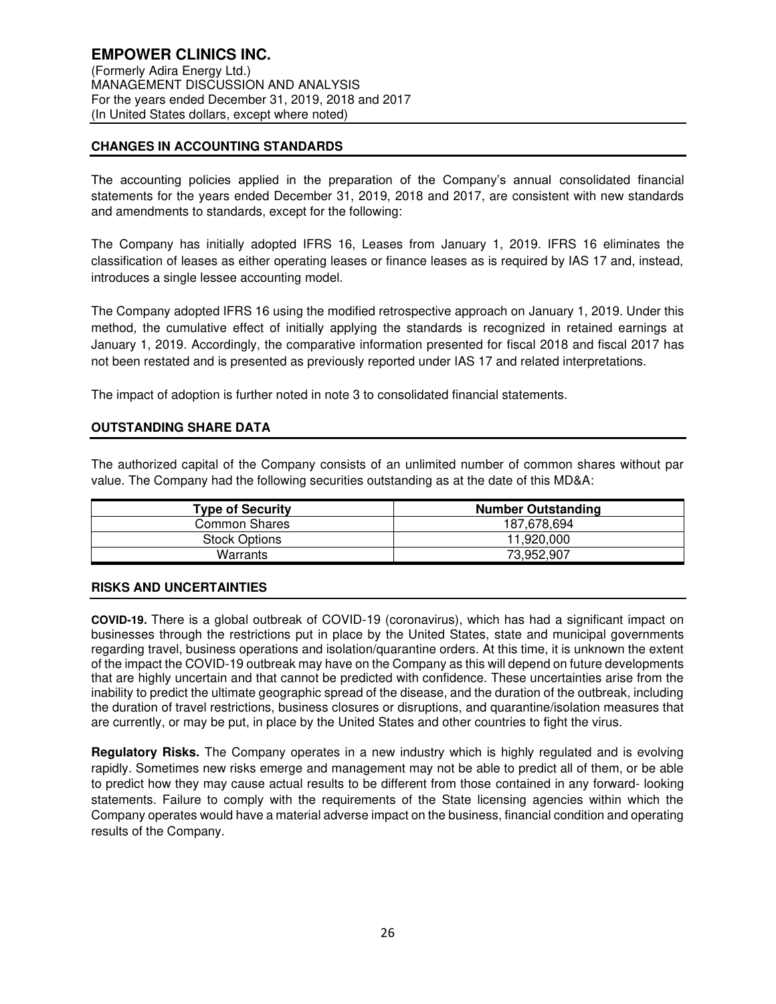## **CHANGES IN ACCOUNTING STANDARDS**

The accounting policies applied in the preparation of the Company's annual consolidated financial statements for the years ended December 31, 2019, 2018 and 2017, are consistent with new standards and amendments to standards, except for the following:

The Company has initially adopted IFRS 16, Leases from January 1, 2019. IFRS 16 eliminates the classification of leases as either operating leases or finance leases as is required by IAS 17 and, instead, introduces a single lessee accounting model.

The Company adopted IFRS 16 using the modified retrospective approach on January 1, 2019. Under this method, the cumulative effect of initially applying the standards is recognized in retained earnings at January 1, 2019. Accordingly, the comparative information presented for fiscal 2018 and fiscal 2017 has not been restated and is presented as previously reported under IAS 17 and related interpretations.

The impact of adoption is further noted in note 3 to consolidated financial statements.

## **OUTSTANDING SHARE DATA**

The authorized capital of the Company consists of an unlimited number of common shares without par value. The Company had the following securities outstanding as at the date of this MD&A:

| <b>Type of Security</b> | <b>Number Outstanding</b> |
|-------------------------|---------------------------|
| Common Shares           | 187.678.694               |
| <b>Stock Options</b>    | 11.920.000                |
| Warrants                | 73,952,907                |

#### **RISKS AND UNCERTAINTIES**

**COVID-19.** There is a global outbreak of COVID-19 (coronavirus), which has had a significant impact on businesses through the restrictions put in place by the United States, state and municipal governments regarding travel, business operations and isolation/quarantine orders. At this time, it is unknown the extent of the impact the COVID-19 outbreak may have on the Company as this will depend on future developments that are highly uncertain and that cannot be predicted with confidence. These uncertainties arise from the inability to predict the ultimate geographic spread of the disease, and the duration of the outbreak, including the duration of travel restrictions, business closures or disruptions, and quarantine/isolation measures that are currently, or may be put, in place by the United States and other countries to fight the virus.

**Regulatory Risks.** The Company operates in a new industry which is highly regulated and is evolving rapidly. Sometimes new risks emerge and management may not be able to predict all of them, or be able to predict how they may cause actual results to be different from those contained in any forward- looking statements. Failure to comply with the requirements of the State licensing agencies within which the Company operates would have a material adverse impact on the business, financial condition and operating results of the Company.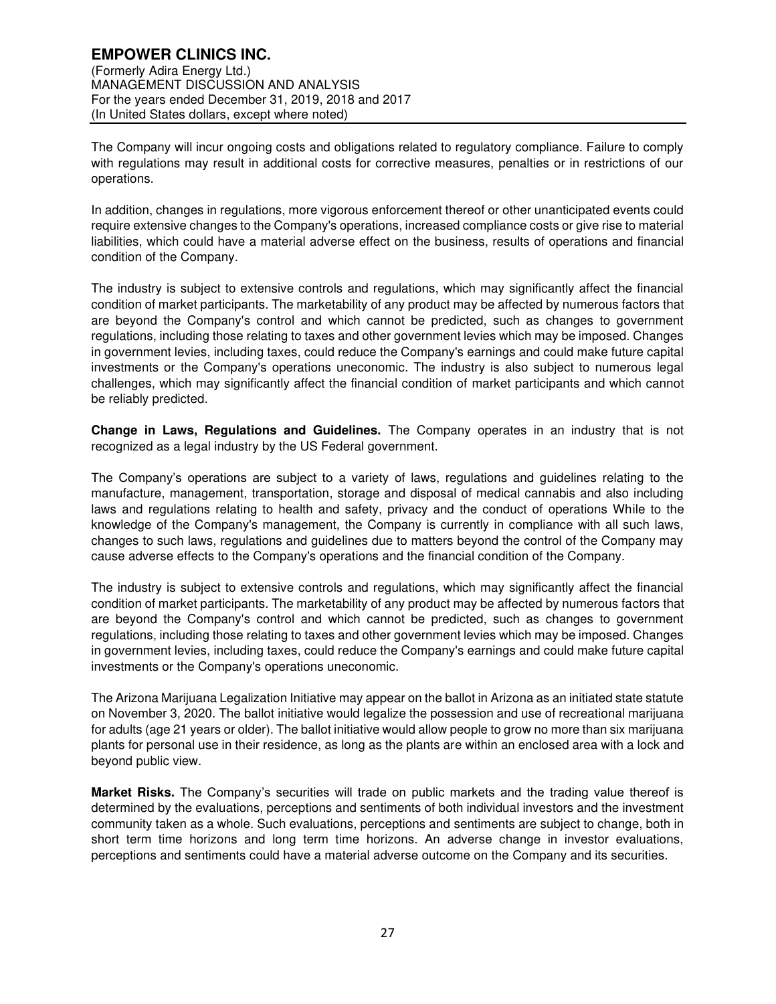## **EMPOWER CLINICS INC.**  (Formerly Adira Energy Ltd.) MANAGEMENT DISCUSSION AND ANALYSIS For the years ended December 31, 2019, 2018 and 2017 (In United States dollars, except where noted)

The Company will incur ongoing costs and obligations related to regulatory compliance. Failure to comply with regulations may result in additional costs for corrective measures, penalties or in restrictions of our operations.

In addition, changes in regulations, more vigorous enforcement thereof or other unanticipated events could require extensive changes to the Company's operations, increased compliance costs or give rise to material liabilities, which could have a material adverse effect on the business, results of operations and financial condition of the Company.

The industry is subject to extensive controls and regulations, which may significantly affect the financial condition of market participants. The marketability of any product may be affected by numerous factors that are beyond the Company's control and which cannot be predicted, such as changes to government regulations, including those relating to taxes and other government levies which may be imposed. Changes in government levies, including taxes, could reduce the Company's earnings and could make future capital investments or the Company's operations uneconomic. The industry is also subject to numerous legal challenges, which may significantly affect the financial condition of market participants and which cannot be reliably predicted.

**Change in Laws, Regulations and Guidelines.** The Company operates in an industry that is not recognized as a legal industry by the US Federal government.

The Company's operations are subject to a variety of laws, regulations and guidelines relating to the manufacture, management, transportation, storage and disposal of medical cannabis and also including laws and regulations relating to health and safety, privacy and the conduct of operations While to the knowledge of the Company's management, the Company is currently in compliance with all such laws, changes to such laws, regulations and guidelines due to matters beyond the control of the Company may cause adverse effects to the Company's operations and the financial condition of the Company.

The industry is subject to extensive controls and regulations, which may significantly affect the financial condition of market participants. The marketability of any product may be affected by numerous factors that are beyond the Company's control and which cannot be predicted, such as changes to government regulations, including those relating to taxes and other government levies which may be imposed. Changes in government levies, including taxes, could reduce the Company's earnings and could make future capital investments or the Company's operations uneconomic.

The Arizona Marijuana Legalization Initiative may appear on the ballot in Arizona as an initiated state statute on November 3, 2020. The ballot initiative would legalize the possession and use of recreational marijuana for adults (age 21 years or older). The ballot initiative would allow people to grow no more than six marijuana plants for personal use in their residence, as long as the plants are within an enclosed area with a lock and beyond public view.

**Market Risks.** The Company's securities will trade on public markets and the trading value thereof is determined by the evaluations, perceptions and sentiments of both individual investors and the investment community taken as a whole. Such evaluations, perceptions and sentiments are subject to change, both in short term time horizons and long term time horizons. An adverse change in investor evaluations, perceptions and sentiments could have a material adverse outcome on the Company and its securities.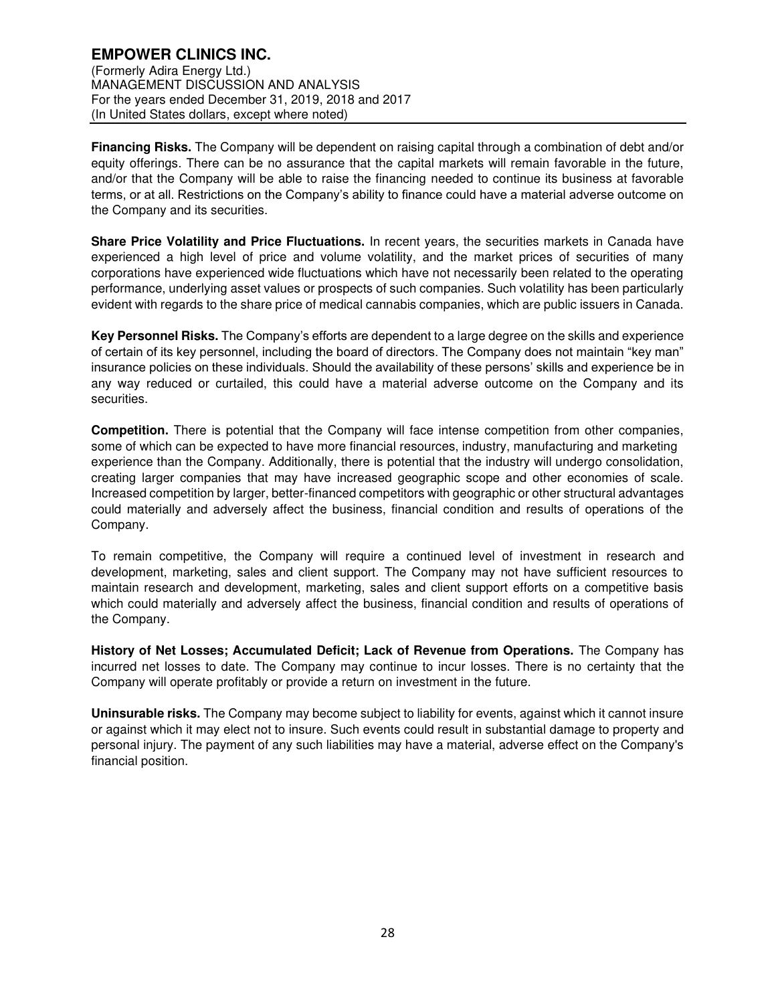**Financing Risks.** The Company will be dependent on raising capital through a combination of debt and/or equity offerings. There can be no assurance that the capital markets will remain favorable in the future, and/or that the Company will be able to raise the financing needed to continue its business at favorable terms, or at all. Restrictions on the Company's ability to finance could have a material adverse outcome on the Company and its securities.

**Share Price Volatility and Price Fluctuations.** In recent years, the securities markets in Canada have experienced a high level of price and volume volatility, and the market prices of securities of many corporations have experienced wide fluctuations which have not necessarily been related to the operating performance, underlying asset values or prospects of such companies. Such volatility has been particularly evident with regards to the share price of medical cannabis companies, which are public issuers in Canada.

**Key Personnel Risks.** The Company's efforts are dependent to a large degree on the skills and experience of certain of its key personnel, including the board of directors. The Company does not maintain "key man" insurance policies on these individuals. Should the availability of these persons' skills and experience be in any way reduced or curtailed, this could have a material adverse outcome on the Company and its securities.

**Competition.** There is potential that the Company will face intense competition from other companies, some of which can be expected to have more financial resources, industry, manufacturing and marketing experience than the Company. Additionally, there is potential that the industry will undergo consolidation, creating larger companies that may have increased geographic scope and other economies of scale. Increased competition by larger, better-financed competitors with geographic or other structural advantages could materially and adversely affect the business, financial condition and results of operations of the Company.

To remain competitive, the Company will require a continued level of investment in research and development, marketing, sales and client support. The Company may not have sufficient resources to maintain research and development, marketing, sales and client support efforts on a competitive basis which could materially and adversely affect the business, financial condition and results of operations of the Company.

**History of Net Losses; Accumulated Deficit; Lack of Revenue from Operations.** The Company has incurred net losses to date. The Company may continue to incur losses. There is no certainty that the Company will operate profitably or provide a return on investment in the future.

**Uninsurable risks.** The Company may become subject to liability for events, against which it cannot insure or against which it may elect not to insure. Such events could result in substantial damage to property and personal injury. The payment of any such liabilities may have a material, adverse effect on the Company's financial position.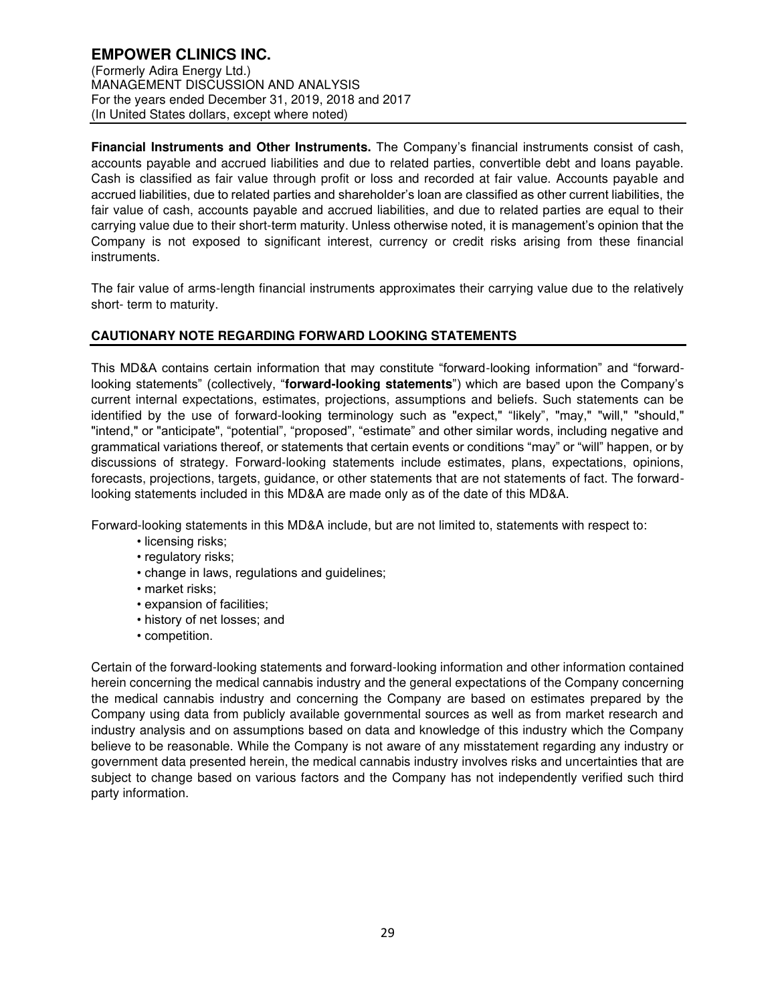(Formerly Adira Energy Ltd.) MANAGEMENT DISCUSSION AND ANALYSIS For the years ended December 31, 2019, 2018 and 2017 (In United States dollars, except where noted)

**Financial Instruments and Other Instruments.** The Company's financial instruments consist of cash, accounts payable and accrued liabilities and due to related parties, convertible debt and loans payable. Cash is classified as fair value through profit or loss and recorded at fair value. Accounts payable and accrued liabilities, due to related parties and shareholder's loan are classified as other current liabilities, the fair value of cash, accounts payable and accrued liabilities, and due to related parties are equal to their carrying value due to their short-term maturity. Unless otherwise noted, it is management's opinion that the Company is not exposed to significant interest, currency or credit risks arising from these financial instruments.

The fair value of arms-length financial instruments approximates their carrying value due to the relatively short- term to maturity.

## **CAUTIONARY NOTE REGARDING FORWARD LOOKING STATEMENTS**

This MD&A contains certain information that may constitute "forward-looking information" and "forwardlooking statements" (collectively, "**forward-looking statements**") which are based upon the Company's current internal expectations, estimates, projections, assumptions and beliefs. Such statements can be identified by the use of forward-looking terminology such as "expect," "likely", "may," "will," "should," "intend," or "anticipate", "potential", "proposed", "estimate" and other similar words, including negative and grammatical variations thereof, or statements that certain events or conditions "may" or "will" happen, or by discussions of strategy. Forward-looking statements include estimates, plans, expectations, opinions, forecasts, projections, targets, guidance, or other statements that are not statements of fact. The forwardlooking statements included in this MD&A are made only as of the date of this MD&A.

Forward-looking statements in this MD&A include, but are not limited to, statements with respect to:

- licensing risks;
- regulatory risks;
- change in laws, regulations and guidelines;
- market risks;
- expansion of facilities;
- history of net losses; and
- competition.

Certain of the forward-looking statements and forward-looking information and other information contained herein concerning the medical cannabis industry and the general expectations of the Company concerning the medical cannabis industry and concerning the Company are based on estimates prepared by the Company using data from publicly available governmental sources as well as from market research and industry analysis and on assumptions based on data and knowledge of this industry which the Company believe to be reasonable. While the Company is not aware of any misstatement regarding any industry or government data presented herein, the medical cannabis industry involves risks and uncertainties that are subject to change based on various factors and the Company has not independently verified such third party information.